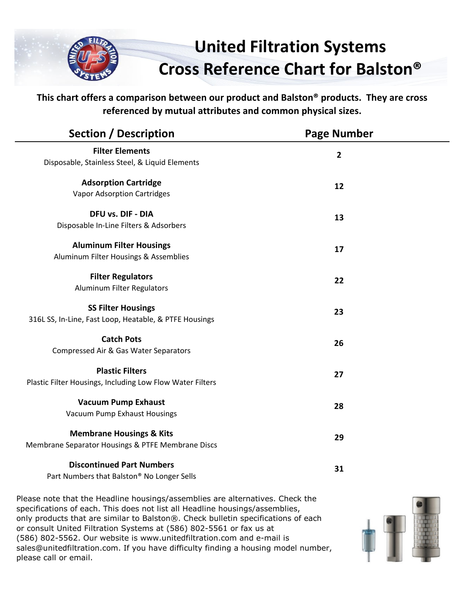

**This chart offers a comparison between our product and Balston® products. They are cross referenced by mutual attributes and common physical sizes.**

| <b>Filter Elements</b><br>$\mathbf{2}$<br>Disposable, Stainless Steel, & Liquid Elements<br><b>Adsorption Cartridge</b><br>12<br><b>Vapor Adsorption Cartridges</b><br>DFU vs. DIF - DIA<br>13<br>Disposable In-Line Filters & Adsorbers<br><b>Aluminum Filter Housings</b><br>17<br>Aluminum Filter Housings & Assemblies<br><b>Filter Regulators</b><br>22<br><b>Aluminum Filter Regulators</b><br><b>SS Filter Housings</b><br>23<br>316L SS, In-Line, Fast Loop, Heatable, & PTFE Housings<br><b>Catch Pots</b><br>26<br>Compressed Air & Gas Water Separators<br><b>Plastic Filters</b><br>27<br>Plastic Filter Housings, Including Low Flow Water Filters<br><b>Vacuum Pump Exhaust</b><br>28<br>Vacuum Pump Exhaust Housings<br><b>Membrane Housings &amp; Kits</b><br>29<br>Membrane Separator Housings & PTFE Membrane Discs<br><b>Discontinued Part Numbers</b><br>31<br>Part Numbers that Balston® No Longer Sells | <b>Section / Description</b> | <b>Page Number</b> |  |
|-------------------------------------------------------------------------------------------------------------------------------------------------------------------------------------------------------------------------------------------------------------------------------------------------------------------------------------------------------------------------------------------------------------------------------------------------------------------------------------------------------------------------------------------------------------------------------------------------------------------------------------------------------------------------------------------------------------------------------------------------------------------------------------------------------------------------------------------------------------------------------------------------------------------------------|------------------------------|--------------------|--|
|                                                                                                                                                                                                                                                                                                                                                                                                                                                                                                                                                                                                                                                                                                                                                                                                                                                                                                                               |                              |                    |  |
|                                                                                                                                                                                                                                                                                                                                                                                                                                                                                                                                                                                                                                                                                                                                                                                                                                                                                                                               |                              |                    |  |
|                                                                                                                                                                                                                                                                                                                                                                                                                                                                                                                                                                                                                                                                                                                                                                                                                                                                                                                               |                              |                    |  |
|                                                                                                                                                                                                                                                                                                                                                                                                                                                                                                                                                                                                                                                                                                                                                                                                                                                                                                                               |                              |                    |  |
|                                                                                                                                                                                                                                                                                                                                                                                                                                                                                                                                                                                                                                                                                                                                                                                                                                                                                                                               |                              |                    |  |
|                                                                                                                                                                                                                                                                                                                                                                                                                                                                                                                                                                                                                                                                                                                                                                                                                                                                                                                               |                              |                    |  |
|                                                                                                                                                                                                                                                                                                                                                                                                                                                                                                                                                                                                                                                                                                                                                                                                                                                                                                                               |                              |                    |  |
|                                                                                                                                                                                                                                                                                                                                                                                                                                                                                                                                                                                                                                                                                                                                                                                                                                                                                                                               |                              |                    |  |
|                                                                                                                                                                                                                                                                                                                                                                                                                                                                                                                                                                                                                                                                                                                                                                                                                                                                                                                               |                              |                    |  |
|                                                                                                                                                                                                                                                                                                                                                                                                                                                                                                                                                                                                                                                                                                                                                                                                                                                                                                                               |                              |                    |  |
|                                                                                                                                                                                                                                                                                                                                                                                                                                                                                                                                                                                                                                                                                                                                                                                                                                                                                                                               |                              |                    |  |
|                                                                                                                                                                                                                                                                                                                                                                                                                                                                                                                                                                                                                                                                                                                                                                                                                                                                                                                               |                              |                    |  |
|                                                                                                                                                                                                                                                                                                                                                                                                                                                                                                                                                                                                                                                                                                                                                                                                                                                                                                                               |                              |                    |  |
|                                                                                                                                                                                                                                                                                                                                                                                                                                                                                                                                                                                                                                                                                                                                                                                                                                                                                                                               |                              |                    |  |
|                                                                                                                                                                                                                                                                                                                                                                                                                                                                                                                                                                                                                                                                                                                                                                                                                                                                                                                               |                              |                    |  |
|                                                                                                                                                                                                                                                                                                                                                                                                                                                                                                                                                                                                                                                                                                                                                                                                                                                                                                                               |                              |                    |  |
|                                                                                                                                                                                                                                                                                                                                                                                                                                                                                                                                                                                                                                                                                                                                                                                                                                                                                                                               |                              |                    |  |
|                                                                                                                                                                                                                                                                                                                                                                                                                                                                                                                                                                                                                                                                                                                                                                                                                                                                                                                               |                              |                    |  |
|                                                                                                                                                                                                                                                                                                                                                                                                                                                                                                                                                                                                                                                                                                                                                                                                                                                                                                                               |                              |                    |  |
|                                                                                                                                                                                                                                                                                                                                                                                                                                                                                                                                                                                                                                                                                                                                                                                                                                                                                                                               |                              |                    |  |
|                                                                                                                                                                                                                                                                                                                                                                                                                                                                                                                                                                                                                                                                                                                                                                                                                                                                                                                               |                              |                    |  |
|                                                                                                                                                                                                                                                                                                                                                                                                                                                                                                                                                                                                                                                                                                                                                                                                                                                                                                                               |                              |                    |  |

Please note that the Headline housings/assemblies are alternatives. Check the specifications of each. This does not list all Headline housings/assemblies, only products that are similar to Balston®. Check bulletin specifications of each or consult United Filtration Systems at (586) 802-5561 or fax us at (586) 802-5562. Our website is www.unitedfiltration.com and e-mail is sales@unitedfiltration.com. If you have difficulty finding a housing model number, please call or email.

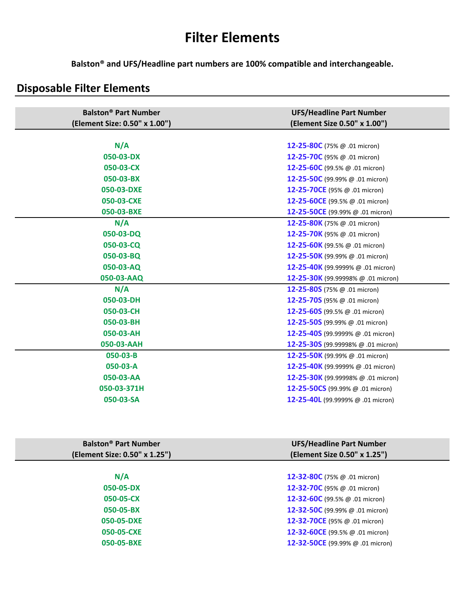# **Filter Elements**

**Balston® and UFS/Headline part numbers are 100% compatible and interchangeable.**

## **Disposable Filter Elements**

| <b>Balston<sup>®</sup> Part Number</b>  | <b>UFS/Headline Part Number</b>            |
|-----------------------------------------|--------------------------------------------|
| (Element Size: 0.50" x 1.00")           | (Element Size 0.50" x 1.00")               |
|                                         |                                            |
| N/A                                     | 12-25-80C (75% @ .01 micron)               |
| 050-03-DX                               | 12-25-70C (95% @ .01 micron)               |
| 050-03-CX                               | 12-25-60C (99.5% @ .01 micron)             |
| 050-03-BX                               | 12-25-50C (99.99% $@.01$ micron)           |
| 050-03-DXE                              | 12-25-70CE (95% @ .01 micron)              |
| 050-03-CXE                              | 12-25-60CE (99.5% @ .01 micron)            |
| 050-03-BXE                              | 12-25-50CE (99.99% @ .01 micron)           |
| N/A                                     | <b>12-25-80K</b> (75% $\omega$ .01 micron) |
| 050-03-DQ                               | <b>12-25-70K</b> (95% $\omega$ .01 micron) |
| 050-03-CQ                               | 12-25-60K (99.5% @ .01 micron)             |
| 050-03-BQ                               | 12-25-50K (99.99% @ .01 micron)            |
| 050-03-AQ                               | 12-25-40K (99.9999% $@.01$ micron)         |
| 050-03-AAQ                              | 12-25-30K (99.99998% @ .01 micron)         |
| N/A                                     | 12-25-80S (75% @ .01 micron)               |
| 050-03-DH                               | 12-25-70S (95% @ .01 micron)               |
| 050-03-CH                               | 12-25-60S (99.5% @ .01 micron)             |
| 050-03-BH                               | 12-25-50S (99.99% @ .01 micron)            |
| 050-03-AH                               | 12-25-40S (99.9999% @ .01 micron)          |
| 050-03-AAH                              | 12-25-30S (99.99998% @ .01 micron)         |
| 050-03-B                                | 12-25-50K (99.99% $@.01$ micron)           |
| 050-03-A                                | 12-25-40K (99.9999% $@.01$ micron)         |
| 050-03-AA                               | 12-25-30K (99.99998% @ .01 micron)         |
| 050-03-371H                             | 12-25-50CS (99.99% @ .01 micron)           |
| 050-03-SA                               | 12-25-40L (99.9999% @ .01 micron)          |
|                                         |                                            |
|                                         |                                            |
|                                         |                                            |
| <b>Balston</b> <sup>®</sup> Part Number | UFS/Headline Part Number                   |
| (Element Size: 0.50" x 1.25")           | (Element Size 0.50" x 1.25")               |
|                                         |                                            |
| N/A                                     | 12-32-80C (75% @ .01 micron)               |
| 050-05-DX                               | 12-32-70C (95% @ .01 micron)               |
| 050-05-CX                               | 12-32-60C (99.5% @ .01 micron)             |
| 050-05-BX                               | 12-32-50C (99.99% @ .01 micron)            |
| 050-05-DXE                              | 12-32-70CE (95% @ .01 micron)              |
| 050-05-CXE                              | 12-32-60CE (99.5% @ .01 micron)            |
| 050-05-BXE                              | 12-32-50CE (99.99% @ .01 micron)           |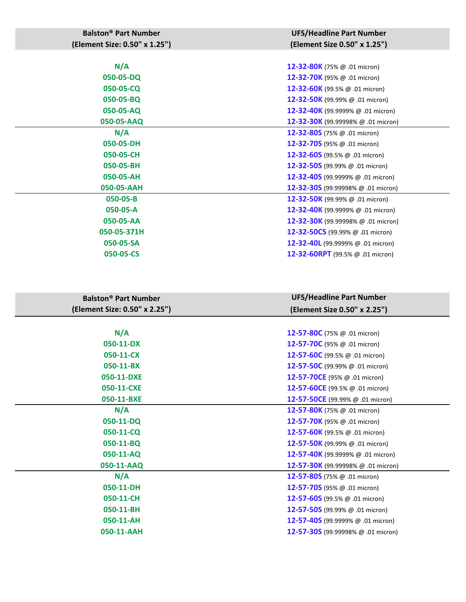| <b>Balston<sup>®</sup> Part Number</b> | <b>UFS/Headline Part Number</b>          |
|----------------------------------------|------------------------------------------|
| (Element Size: 0.50" x 1.25")          | (Element Size 0.50" x 1.25")             |
|                                        |                                          |
| N/A                                    | 12-32-80K (75% @ .01 micron)             |
| 050-05-DQ                              | 12-32-70K (95% @ .01 micron)             |
| 050-05-CQ                              | 12-32-60K (99.5% @ .01 micron)           |
| 050-05-BQ                              | 12-32-50K (99.99% @ .01 micron)          |
| 050-05-AQ                              | 12-32-40K (99.9999% @ .01 micron)        |
| 050-05-AAQ                             | 12-32-30K (99.99998% @ .01 micron)       |
| N/A                                    | 12-32-80S (75% @ .01 micron)             |
| 050-05-DH                              | 12-32-70S (95% @ .01 micron)             |
| 050-05-CH                              | 12-32-60S (99.5% @ .01 micron)           |
| 050-05-BH                              | <b>12-32-50S</b> (99.99% $@.01$ micron)  |
| 050-05-AH                              | 12-32-40S (99.9999% @ .01 micron)        |
| 050-05-AAH                             | 12-32-30S (99.99998% @ .01 micron)       |
| 050-05-B                               | 12-32-50K (99.99% @ .01 micron)          |
| 050-05-A                               | 12-32-40K (99.9999% @ .01 micron)        |
| 050-05-AA                              | 12-32-30K (99.99998% @ .01 micron)       |
| 050-05-371H                            | <b>12-32-50CS</b> (99.99% $@.01$ micron) |
| 050-05-SA                              | 12-32-40L (99.9999% @ .01 micron)        |
| 050-05-CS                              | 12-32-60RPT (99.5% @ .01 micron)         |
|                                        |                                          |

| <b>Balston<sup>®</sup> Part Number</b> | <b>UFS/Headline Part Number</b>               |
|----------------------------------------|-----------------------------------------------|
| (Element Size: 0.50" x 2.25")          | (Element Size 0.50" x 2.25")                  |
|                                        |                                               |
| N/A                                    | 12-57-80C (75% $\omega$ .01 micron)           |
| 050-11-DX                              | 12-57-70C (95% @ .01 micron)                  |
| 050-11-CX                              | 12-57-60C (99.5% $@.01$ micron)               |
| 050-11-BX                              | 12-57-50C (99.99% $\omega$ .01 micron)        |
| 050-11-DXE                             | 12-57-70CE (95% @ .01 micron)                 |
| 050-11-CXE                             | 12-57-60CE (99.5% @ .01 micron)               |
| 050-11-BXE                             | 12-57-50CE (99.99% @ .01 micron)              |
| N/A                                    | 12-57-80K (75% @ .01 micron)                  |
| 050-11-DQ                              | 12-57-70K (95% @ .01 micron)                  |
| 050-11-CQ                              | 12-57-60K (99.5% @ .01 micron)                |
| 050-11-BQ                              | 12-57-50K (99.99% @ .01 micron)               |
| 050-11-AQ                              | 12-57-40K (99.9999% @ .01 micron)             |
| 050-11-AAQ                             | 12-57-30K (99.99998% @ .01 micron)            |
| N/A                                    | 12-57-80S (75% $@.01$ micron)                 |
| 050-11-DH                              | 12-57-70S (95% @ .01 micron)                  |
| 050-11-CH                              | 12-57-60S (99.5% @ .01 micron)                |
| 050-11-BH                              | <b>12-57-50S</b> (99.99% $\omega$ .01 micron) |
| 050-11-AH                              | 12-57-40S (99.9999% @ .01 micron)             |
| 050-11-AAH                             | 12-57-30S (99.99998% @ .01 micron)            |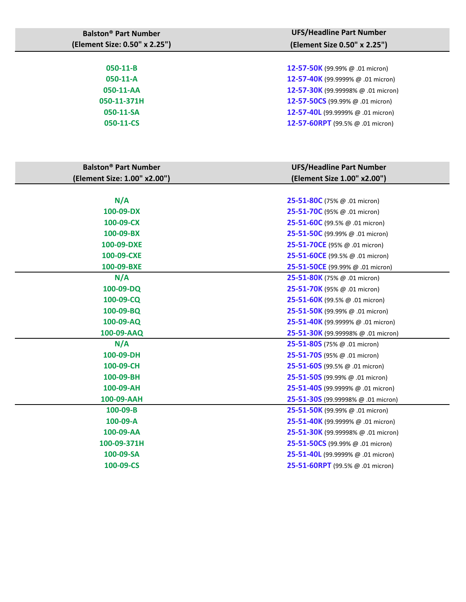| <b>UFS/Headline Part Number</b><br>(Element Size 0.50" x 2.25") |
|-----------------------------------------------------------------|
| <b>12-57-50K</b> (99.99% $\omega$ .01 micron)                   |
| 12-57-40K (99.9999% @ .01 micron)                               |
| 12-57-30K (99.99998% @ .01 micron)                              |
| 12-57-50CS (99.99% @ .01 micron)                                |
| 12-57-40L (99.9999% @ .01 micron)                               |
| 12-57-60RPT (99.5% $@.01$ micron)                               |
|                                                                 |

| <b>Balston<sup>®</sup> Part Number</b> | <b>UFS/Headline Part Number</b>               |
|----------------------------------------|-----------------------------------------------|
| (Element Size: 1.00" x2.00")           | (Element Size 1.00" x2.00")                   |
|                                        |                                               |
| N/A                                    | <b>25-51-80C</b> (75% $@.01$ micron)          |
| 100-09-DX                              | <b>25-51-70C</b> (95% $@.01$ micron)          |
| 100-09-CX                              | <b>25-51-60C</b> (99.5% $@.01$ micron)        |
| 100-09-BX                              | <b>25-51-50C</b> (99.99% $@.01$ micron)       |
| 100-09-DXE                             | 25-51-70CE (95% @ .01 micron)                 |
| 100-09-CXE                             | 25-51-60CE (99.5% @ .01 micron)               |
| 100-09-BXE                             | 25-51-50CE (99.99% @ .01 micron)              |
| N/A                                    | <b>25-51-80K</b> (75% $\omega$ .01 micron)    |
| 100-09-DQ                              | 25-51-70K (95% @ .01 micron)                  |
| $100 - 09 - CQ$                        | <b>25-51-60K</b> (99.5% $\omega$ .01 micron)  |
| 100-09-BQ                              | <b>25-51-50K</b> (99.99% $@.01$ micron)       |
| 100-09-AQ                              | <b>25-51-40K</b> (99.9999% $@.01$ micron)     |
| 100-09-AAQ                             | <b>25-51-30K</b> (99.99998% $@.01$ micron)    |
| N/A                                    | <b>25-51-80S</b> (75% $@.01$ micron)          |
| 100-09-DH                              | 25-51-70S (95% @ .01 micron)                  |
| 100-09-CH                              | 25-51-60S (99.5% @ .01 micron)                |
| 100-09-BH                              | 25-51-50S (99.99% @ .01 micron)               |
| 100-09-AH                              | 25-51-40S (99.9999% @ .01 micron)             |
| 100-09-AAH                             | 25-51-30S (99.99998% @ .01 micron)            |
| 100-09-B                               | <b>25-51-50K</b> (99.99% $\omega$ .01 micron) |
| $100 - 09 - A$                         | 25-51-40K (99.9999% @ .01 micron)             |
| 100-09-AA                              | <b>25-51-30K</b> (99.99998% $@.01$ micron)    |
| 100-09-371H                            | 25-51-50CS (99.99% @ .01 micron)              |
| 100-09-SA                              | <b>25-51-40L</b> (99.9999% $@.01$ micron)     |
| 100-09-CS                              | 25-51-60RPT (99.5% @ .01 micron)              |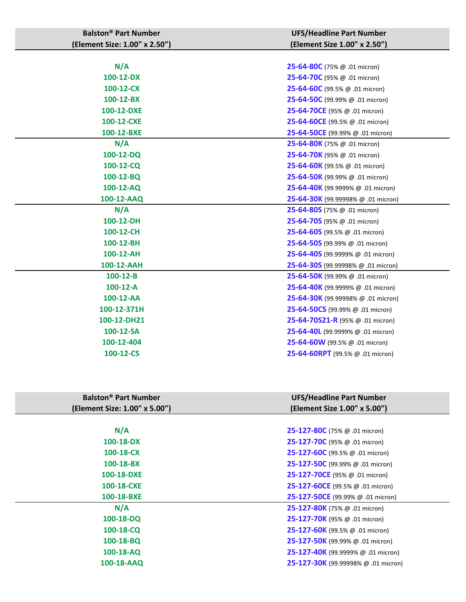| <b>Balston<sup>®</sup> Part Number</b> | <b>UFS/Headline Part Number</b>                 |
|----------------------------------------|-------------------------------------------------|
| (Element Size: 1.00" x 2.50")          | (Element Size 1.00" x 2.50")                    |
|                                        |                                                 |
| N/A                                    | 25-64-80C (75% @ .01 micron)                    |
| 100-12-DX                              | 25-64-70C (95% @ .01 micron)                    |
| 100-12-CX                              | 25-64-60C (99.5% @ .01 micron)                  |
| 100-12-BX                              | 25-64-50C (99.99% @ .01 micron)                 |
| 100-12-DXE                             | 25-64-70CE (95% @ .01 micron)                   |
| 100-12-CXE                             | 25-64-60CE (99.5% @ .01 micron)                 |
| 100-12-BXE                             | 25-64-50CE (99.99% @ .01 micron)                |
| N/A                                    | <b>25-64-80K</b> (75% $\omega$ .01 micron)      |
| 100-12-DQ                              | 25-64-70K (95% @ .01 micron)                    |
| 100-12-CQ                              | 25-64-60K (99.5% @ .01 micron)                  |
| 100-12-BQ                              | 25-64-50K (99.99% @ .01 micron)                 |
| 100-12-AQ                              | <b>25-64-40K</b> (99.9999% $@.01$ micron)       |
| 100-12-AAQ                             | 25-64-30K (99.99998% @ .01 micron)              |
| N/A                                    | 25-64-80S (75% @ .01 micron)                    |
| 100-12-DH                              | 25-64-70S (95% @ .01 micron)                    |
| 100-12-CH                              | 25-64-60S (99.5% @ .01 micron)                  |
| 100-12-BH                              | <b>25-64-50S</b> (99.99% $\omega$ .01 micron)   |
| 100-12-AH                              | 25-64-40S (99.9999% @ .01 micron)               |
| 100-12-AAH                             | 25-64-30S (99.99998% @ .01 micron)              |
| $100-12 - B$                           | <b>25-64-50K</b> (99.99% $\omega$ .01 micron)   |
| $100-12-A$                             | <b>25-64-40K</b> (99.9999% $\omega$ .01 micron) |
| 100-12-AA                              | <b>25-64-30K</b> (99.99998% $@.01$ micron)      |
| 100-12-371H                            | 25-64-50CS (99.99% @ .01 micron)                |
| 100-12-DH21                            | <b>25-64-70S21-R</b> (95% $@.01$ micron)        |
| 100-12-SA                              | 25-64-40L (99.9999% @ .01 micron)               |
| 100-12-404                             | <b>25-64-60W</b> (99.5% $\omega$ .01 micron)    |
| 100-12-CS                              | <b>25-64-60RPT</b> (99.5% $@.01$ micron)        |
|                                        |                                                 |

| <b>Balston<sup>®</sup> Part Number</b> | <b>UFS/Headline Part Number</b>               |
|----------------------------------------|-----------------------------------------------|
| (Element Size: 1.00" x 5.00")          | (Element Size 1.00" x 5.00")                  |
|                                        |                                               |
| N/A                                    | <b>25-127-80C</b> (75% $@.01$ micron)         |
| 100-18-DX                              | <b>25-127-70C</b> (95% $@.01$ micron)         |
| 100-18-CX                              | 25-127-60C (99.5% @ .01 micron)               |
| 100-18-BX                              | 25-127-50C (99.99% @ .01 micron)              |
| 100-18-DXE                             | <b>25-127-70CE</b> (95% $\omega$ .01 micron)  |
| 100-18-CXE                             | 25-127-60CE (99.5% @ .01 micron)              |
| 100-18-BXE                             | <b>25-127-50CE</b> (99.99% $@.01$ micron)     |
| N/A                                    | 25-127-80K (75% @ .01 micron)                 |
| $100-18-DQ$                            | 25-127-70K (95% @ .01 micron)                 |
| $100 - 18 - CQ$                        | <b>25-127-60K</b> (99.5% $\omega$ .01 micron) |
| 100-18-BQ                              | 25-127-50K (99.99% @ .01 micron)              |
| 100-18-AQ                              | 25-127-40K (99.9999% @ .01 micron)            |
| 100-18-AAQ                             | 25-127-30K (99.99998% @ .01 micron)           |
|                                        |                                               |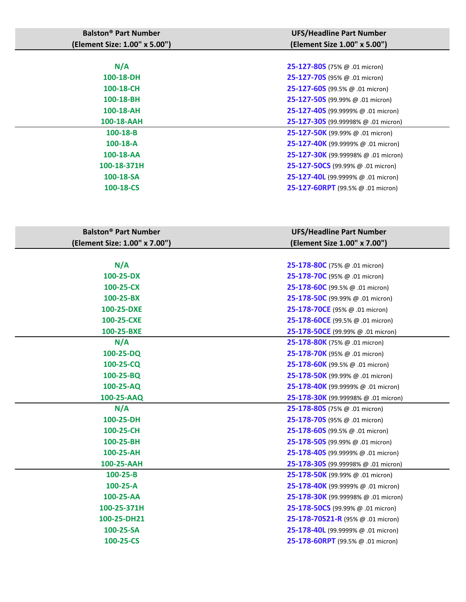| <b>Balston<sup>®</sup> Part Number</b> | <b>UFS/Headline Part Number</b>                   |
|----------------------------------------|---------------------------------------------------|
| (Element Size: 1.00" x 5.00")          | (Element Size 1.00" x 5.00")                      |
|                                        |                                                   |
| N/A                                    | <b>25-127-80S</b> (75% $@.01$ micron)             |
| 100-18-DH                              | 25-127-70S (95% @ .01 micron)                     |
| 100-18-CH                              | <b>25-127-60S</b> (99.5% $\omega$ .01 micron)     |
| 100-18-BH                              | <b>25-127-50S</b> (99.99% $@.01$ micron)          |
| 100-18-AH                              | <b>25-127-40S</b> (99.9999% $@.01$ micron)        |
| 100-18-AAH                             | 25-127-30S (99.99998% @ .01 micron)               |
| 100-18-B                               | <b>25-127-50K</b> (99.99% $@.01$ micron)          |
| $100-18-A$                             | 25-127-40K (99.9999% @ .01 micron)                |
| 100-18-AA                              | 25-127-30K (99.99998% @ .01 micron)               |
| 100-18-371H                            | 25-127-50CS (99.99% @ .01 micron)                 |
| 100-18-SA                              | 25-127-40L (99.9999% @ .01 micron)                |
| 100-18-CS                              | 25-127-60RPT (99.5% @ .01 micron)                 |
|                                        |                                                   |
|                                        |                                                   |
| <b>Balston<sup>®</sup> Part Number</b> | <b>UFS/Headline Part Number</b>                   |
| (Element Size: 1.00" x 7.00")          | (Element Size 1.00" x 7.00")                      |
|                                        |                                                   |
| N/A                                    | 25-178-80C (75% @ .01 micron)                     |
| 100-25-DX                              | <b>25-178-70C</b> (95% $@.01$ micron)             |
| 100-25-CX                              | 25-178-60C (99.5% @ .01 micron)                   |
| 100-25-BX                              | 25-178-50C (99.99% @ .01 micron)                  |
| 100-25-DXE                             | 25-178-70CE (95% @ .01 micron)                    |
| 100-25-CXE                             | 25-178-60CE (99.5% @ .01 micron)                  |
| 100-25-BXE                             | 25-178-50CE (99.99% @ .01 micron)                 |
| N/A                                    | 25-178-80K (75% @ .01 micron)                     |
| 100-25-DQ                              | 25-178-70K (95% @ .01 micron)                     |
| 100-25-CQ                              | 25-178-60K (99.5% @ .01 micron)                   |
| 100-25-BQ                              | 25-178-50K (99.99% @ .01 micron)                  |
| 100-25-AQ                              | 25-178-40K (99.9999% @ .01 micron)                |
| 100-25-AAQ                             | 25-178-30K (99.99998% @ .01 micron)               |
| N/A                                    | 25-178-80S (75% @ .01 micron)                     |
| 100-25-DH                              | <b>25-178-70S</b> (95% $@.01$ micron)             |
| 100-25-CH                              | 25-178-60S (99.5% @ .01 micron)                   |
| 100-25-BH                              | 25-178-50S (99.99% @ .01 micron)                  |
| 100-25-AH                              | <b>25-178-40S</b> (99.9999% $@.01$ micron)        |
| 100-25-AAH                             | 25-178-30S (99.99998% @ .01 micron)               |
| $100 - 25 - B$                         | <b>25-178-50K</b> (99.99% $@.01$ micron)          |
| $100 - 25 - A$                         | 25-178-40K (99.9999% @ .01 micron)                |
| 100-25-AA                              | <b>25-178-30K</b> (99.99998% $\omega$ .01 micron) |
| 100-25-371H                            | 25-178-50CS (99.99% @ .01 micron)                 |
| 100-25-DH21                            | 25-178-70S21-R (95% $@.01$ micron)                |
| 100-25-SA                              | <b>25-178-40L</b> (99.9999% $@.01$ micron)        |
| 100-25-CS                              | 25-178-60RPT (99.5% @ .01 micron)                 |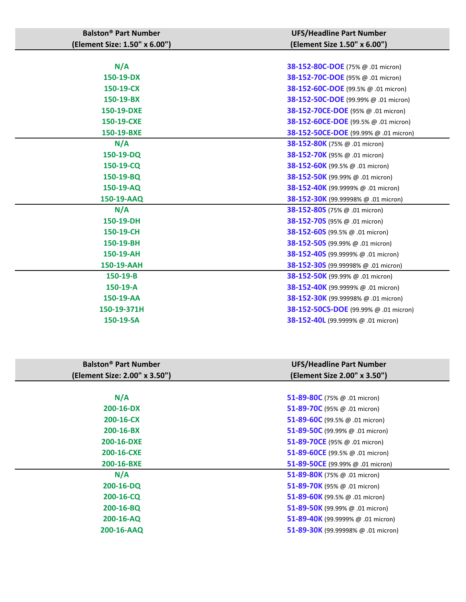| <b>Balston<sup>®</sup> Part Number</b> | <b>UFS/Headline Part Number</b>               |
|----------------------------------------|-----------------------------------------------|
| (Element Size: 1.50" x 6.00")          | (Element Size 1.50" x 6.00")                  |
|                                        |                                               |
| N/A                                    | 38-152-80C-DOE (75% @ .01 micron)             |
| 150-19-DX                              | 38-152-70C-DOE (95% @ .01 micron)             |
| 150-19-CX                              | 38-152-60C-DOE (99.5% @ .01 micron)           |
| 150-19-BX                              | 38-152-50C-DOE (99.99% @ .01 micron)          |
| 150-19-DXE                             | 38-152-70CE-DOE (95% @ .01 micron)            |
| 150-19-CXE                             | 38-152-60CE-DOE (99.5% @ .01 micron)          |
| 150-19-BXE                             | 38-152-50CE-DOE (99.99% @ .01 micron)         |
| N/A                                    | <b>38-152-80K</b> (75% $\omega$ .01 micron)   |
| 150-19-DQ                              | 38-152-70K (95% @ .01 micron)                 |
| 150-19-CQ                              | <b>38-152-60K</b> (99.5% $\omega$ .01 micron) |
| 150-19-BQ                              | 38-152-50K (99.99% @ .01 micron)              |
| 150-19-AQ                              | 38-152-40K (99.9999% @ .01 micron)            |
| 150-19-AAQ                             | 38-152-30K (99.99998% @ .01 micron)           |
| N/A                                    | 38-152-80S (75% @ .01 micron)                 |
| 150-19-DH                              | 38-152-70S (95% @ .01 micron)                 |
| 150-19-CH                              | 38-152-60S (99.5% @ .01 micron)               |
| 150-19-BH                              | 38-152-50S (99.99% @ .01 micron)              |
| 150-19-AH                              | 38-152-40S (99.9999% @ .01 micron)            |
| 150-19-AAH                             | 38-152-30S (99.99998% @ .01 micron)           |
| 150-19-B                               | 38-152-50K (99.99% @ .01 micron)              |
| 150-19-A                               | 38-152-40K (99.9999% @ .01 micron)            |
| 150-19-AA                              | 38-152-30K (99.99998% @ .01 micron)           |
| 150-19-371H                            | 38-152-50CS-DOE (99.99% @ .01 micron)         |
| 150-19-SA                              | 38-152-40L (99.9999% @ .01 micron)            |

| <b>Balston<sup>®</sup> Part Number</b> | <b>UFS/Headline Part Number</b>       |
|----------------------------------------|---------------------------------------|
| (Element Size: 2.00" x 3.50")          | (Element Size 2.00" x 3.50")          |
|                                        |                                       |
| N/A                                    | 51-89-80C (75% $@.01$ micron)         |
| 200-16-DX                              | 51-89-70C (95% @ .01 micron)          |
| 200-16-CX                              | 51-89-60C (99.5% $\omega$ .01 micron) |
| 200-16-BX                              | 51-89-50C (99.99% $@.01$ micron)      |
| 200-16-DXE                             | 51-89-70CE (95% @ .01 micron)         |
| 200-16-CXE                             | 51-89-60CE (99.5% @ .01 micron)       |
| 200-16-BXE                             | 51-89-50CE (99.99% @ .01 micron)      |
| N/A                                    | 51-89-80K (75% @ .01 micron)          |
| $200 - 16 - DQ$                        | 51-89-70K (95% $\omega$ .01 micron)   |
| 200-16-CQ                              | 51-89-60K (99.5% @ .01 micron)        |
| 200-16-BQ                              | 51-89-50K (99.99% @ .01 micron)       |
| 200-16-AQ                              | 51-89-40K (99.9999% @ .01 micron)     |
| 200-16-AAQ                             | 51-89-30K (99.99998% @ .01 micron)    |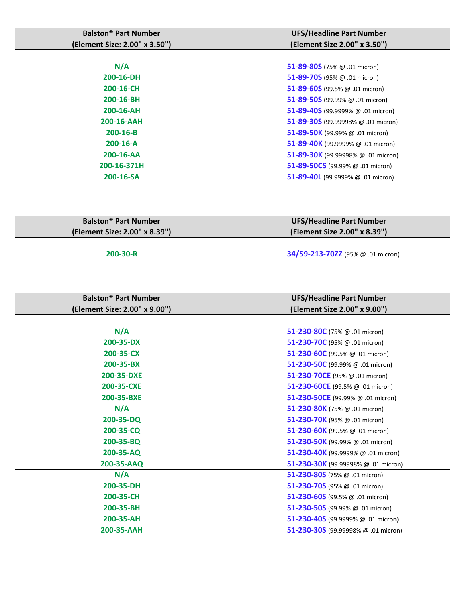| <b>Balston<sup>®</sup> Part Number</b><br>(Element Size: 2.00" x 3.50") | <b>UFS/Headline Part Number</b><br>(Element Size 2.00" x 3.50") |
|-------------------------------------------------------------------------|-----------------------------------------------------------------|
|                                                                         |                                                                 |
| N/A                                                                     | 51-89-80S (75% $@.01$ micron)                                   |
| 200-16-DH                                                               | 51-89-70S (95% $@.01$ micron)                                   |
| 200-16-CH                                                               | 51-89-60S (99.5% $@.01$ micron)                                 |
| 200-16-BH                                                               | 51-89-50S (99.99% $@.01$ micron)                                |
| 200-16-AH                                                               | 51-89-40S (99.9999% @ .01 micron)                               |
| 200-16-AAH                                                              | 51-89-305 (99.99998% @ .01 micron)                              |
| $200 - 16 - B$                                                          | 51-89-50K (99.99% $@.01$ micron)                                |
| $200 - 16 - A$                                                          | 51-89-40K (99.9999% @ .01 micron)                               |
| 200-16-AA                                                               | 51-89-30K (99.99998% @ .01 micron)                              |
| 200-16-371H                                                             | 51-89-50CS (99.99% @ .01 micron)                                |
| 200-16-SA                                                               | 51-89-40L (99.9999% @ .01 micron)                               |
|                                                                         |                                                                 |

| <b>Balston<sup>®</sup> Part Number</b> | <b>UFS/Headline Part Number</b> |
|----------------------------------------|---------------------------------|
| (Element Size: 2.00" x 8.39")          | (Element Size 2.00" x 8.39")    |

**200-30-R 34/59-213-70ZZ** (95% @ .01 micron)

**Balston® Part Number (Element Size: 2.00" x 9.00") UFS/Headline Part Number (Element Size 2.00" x 9.00") N/A 51-230-80C** (75% @ .01 micron) **200-35-DX 51-230-70C** (95% @ .01 micron) **200-35-CX 51-230-60C** (99.5% @ .01 micron) **200-35-BX 51-230-50C** (99.99% @ .01 micron) **200-35-DXE 51-230-70CE** (95% @ .01 micron) **200-35-CXE 51-230-60CE** (99.5% @ .01 micron) **200-35-BXE 51-230-50CE** (99.99% @ .01 micron) **N/A 51-230-80K** (75% @ .01 micron) **200-35-DQ 51-230-70K** (95% @ .01 micron) **200-35-CQ 51-230-60K** (99.5% @ .01 micron) **200-35-BQ 51-230-50K** (99.99% @ .01 micron) **200-35-AQ 51-230-40K** (99.9999% @ .01 micron) **200-35-AAQ 51-230-30K** (99.99998% @ .01 micron) **N/A 51-230-80S** (75% @ .01 micron) **200-35-DH 51-230-70S** (95% @ .01 micron) **200-35-CH 51-230-60S** (99.5% @ .01 micron) **200-35-BH 51-230-50S** (99.99% @ .01 micron) **200-35-AH 51-230-40S** (99.9999% @ .01 micron) **200-35-AAH 51-230-30S** (99.99998% @ .01 micron)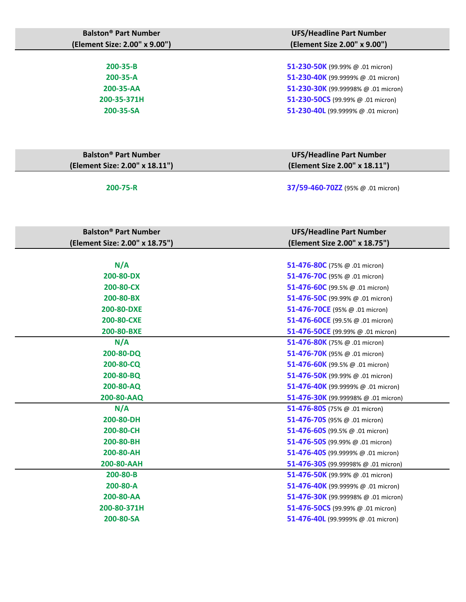| <b>Balston<sup>®</sup> Part Number</b><br>(Element Size: 2.00" x 9.00") | <b>UFS/Headline Part Number</b><br>(Element Size 2.00" x 9.00") |
|-------------------------------------------------------------------------|-----------------------------------------------------------------|
|                                                                         |                                                                 |
| 200-35-B                                                                | 51-230-50K (99.99% @ .01 micron)                                |
| 200-35-A                                                                | 51-230-40K (99.9999% @ .01 micron)                              |
| 200-35-AA                                                               | 51-230-30K (99.99998% @ .01 micron)                             |
| 200-35-371H                                                             | 51-230-50CS (99.99% @ .01 micron)                               |
| 200-35-SA                                                               | 51-230-40L (99.9999% @ .01 micron)                              |
|                                                                         |                                                                 |
|                                                                         |                                                                 |
| <b>Balston<sup>®</sup> Part Number</b>                                  | <b>UFS/Headline Part Number</b>                                 |
| (Element Size: 2.00" x 18.11")                                          | (Element Size 2.00" x 18.11")                                   |
| 200-75-R                                                                | 37/59-460-70ZZ (95% @ .01 micron)                               |
| <b>Balston<sup>®</sup> Part Number</b>                                  | <b>UFS/Headline Part Number</b>                                 |
| (Element Size: 2.00" x 18.75")                                          | (Element Size 2.00" x 18.75")                                   |
|                                                                         |                                                                 |
| N/A                                                                     | 51-476-80C (75% $@.01$ micron)                                  |
| 200-80-DX                                                               | 51-476-70C (95% @ .01 micron)                                   |
| 200-80-CX                                                               | 51-476-60C (99.5% @ .01 micron)                                 |
| 200-80-BX                                                               | 51-476-50C (99.99% @ .01 micron)                                |
| 200-80-DXE                                                              | 51-476-70CE (95% @ .01 micron)                                  |
| 200-80-CXE                                                              | 51-476-60CE (99.5% @ .01 micron)                                |
| 200-80-BXE                                                              | 51-476-50CE (99.99% @ .01 micron)                               |
| N/A                                                                     | 51-476-80K (75% @ .01 micron)                                   |
| 200-80-DQ                                                               | 51-476-70K (95% @ .01 micron)                                   |
| 200-80-CQ                                                               | 51-476-60K (99.5% @ .01 micron)                                 |
| 200-80-BQ                                                               | 51-476-50K (99.99% @ .01 micron)                                |
| 200-80-AQ                                                               | 51-476-40K (99.9999% @ .01 micron)                              |
| 200-80-AAQ                                                              | 51-476-30K (99.99998% @ .01 micron)                             |
| N/A                                                                     | 51-476-80S (75% $@.01$ micron)                                  |
| 200-80-DH                                                               | 51-476-70S (95% @ .01 micron)                                   |
| 200-80-CH                                                               | 51-476-60S (99.5% @ .01 micron)                                 |
| 200-80-BH                                                               | 51-476-50S (99.99% $@.01$ micron)                               |
| 200-80-AH                                                               | 51-476-40S (99.9999% $@.01$ micron)                             |
| 200-80-AAH                                                              | 51-476-30S (99.99998% $@.01$ micron)                            |
| 200-80-B                                                                | 51-476-50K (99.99% $@.01$ micron)                               |
| 200-80-A                                                                | 51-476-40K (99.9999% @ .01 micron)                              |
| 200-80-AA                                                               | 51-476-30K (99.99998% @ .01 micron)                             |
| 200-80-371H                                                             | 51-476-50CS (99.99% @ .01 micron)                               |
| 200-80-SA                                                               | 51-476-40L (99.9999% @ .01 micron)                              |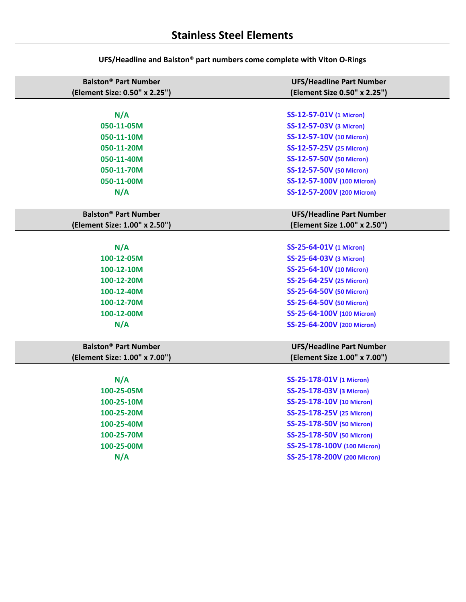| <b>Balston<sup>®</sup> Part Number</b> | <b>UFS/Headline Part Number</b> |
|----------------------------------------|---------------------------------|
| (Element Size: 0.50" x 2.25")          | (Element Size 0.50" x 2.25")    |
|                                        |                                 |
| N/A                                    | <b>SS-12-57-01V (1 Micron)</b>  |
| 050-11-05M                             | SS-12-57-03V (3 Micron)         |
| 050-11-10M                             | SS-12-57-10V (10 Micron)        |
| 050-11-20M                             | SS-12-57-25V (25 Micron)        |
| 050-11-40M                             | SS-12-57-50V (50 Micron)        |
| 050-11-70M                             | SS-12-57-50V (50 Micron)        |
| 050-11-00M                             | SS-12-57-100V (100 Micron)      |
| N/A                                    | SS-12-57-200V (200 Micron)      |
|                                        |                                 |
| <b>Balston<sup>®</sup> Part Number</b> | <b>UFS/Headline Part Number</b> |
| (Element Size: 1.00" x 2.50")          | (Element Size 1.00" x 2.50")    |
|                                        |                                 |
| N/A                                    | SS-25-64-01V (1 Micron)         |
| 100-12-05M                             | SS-25-64-03V (3 Micron)         |
| 100-12-10M                             | SS-25-64-10V (10 Micron)        |
| 100-12-20M                             | SS-25-64-25V (25 Micron)        |
| 100-12-40M                             | SS-25-64-50V (50 Micron)        |
| 100-12-70M                             | SS-25-64-50V (50 Micron)        |
| 100-12-00M                             | SS-25-64-100V (100 Micron)      |
| N/A                                    | SS-25-64-200V (200 Micron)      |
|                                        |                                 |
| <b>Balston<sup>®</sup> Part Number</b> | <b>UFS/Headline Part Number</b> |
| (Element Size: 1.00" x 7.00")          | (Element Size 1.00" x 7.00")    |
|                                        |                                 |
| N/A                                    | SS-25-178-01V (1 Micron)        |
| 100-25-05M                             | SS-25-178-03V (3 Micron)        |
| 100-25-10M                             | SS-25-178-10V (10 Micron)       |
| 100-25-20M                             | SS-25-178-25V (25 Micron)       |
| 100-25-40M                             | SS-25-178-50V (50 Micron)       |
| 100-25-70M                             | SS-25-178-50V (50 Micron)       |
| 100-25-00M                             | SS-25-178-100V (100 Micron)     |
| N/A                                    | SS-25-178-200V (200 Micron)     |
|                                        |                                 |

**UFS/Headline and Balston® part numbers come complete with Viton O-Rings**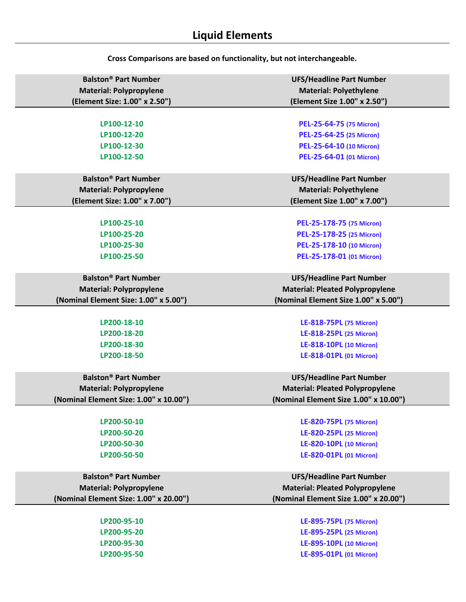| <b>Balston<sup>®</sup> Part Number</b> | <b>UFS/Headline Part Number</b>        |
|----------------------------------------|----------------------------------------|
| <b>Material: Polypropylene</b>         | <b>Material: Polyethylene</b>          |
| (Element Size: 1.00" x 2.50")          | (Element Size 1.00" x 2.50")           |
|                                        |                                        |
| LP100-12-10                            | PEL-25-64-75 (75 Micron)               |
| LP100-12-20                            | PEL-25-64-25 (25 Micron)               |
| LP100-12-30                            | PEL-25-64-10 (10 Micron)               |
| LP100-12-50                            | PEL-25-64-01 (01 Micron)               |
|                                        |                                        |
| <b>Balston<sup>®</sup> Part Number</b> | <b>UFS/Headline Part Number</b>        |
| <b>Material: Polypropylene</b>         | <b>Material: Polyethylene</b>          |
| (Element Size: 1.00" x 7.00")          | (Element Size 1.00" x 7.00")           |
|                                        |                                        |
| LP100-25-10                            | PEL-25-178-75 (75 Micron)              |
| LP100-25-20                            | PEL-25-178-25 (25 Micron)              |
| LP100-25-30                            | PEL-25-178-10 (10 Micron)              |
| LP100-25-50                            | PEL-25-178-01 (01 Micron)              |
|                                        |                                        |
| <b>Balston<sup>®</sup> Part Number</b> | <b>UFS/Headline Part Number</b>        |
| <b>Material: Polypropylene</b>         | <b>Material: Pleated Polypropylene</b> |
| (Nominal Element Size: 1.00" x 5.00")  | (Nominal Element Size 1.00" x 5.00")   |
|                                        |                                        |
| LP200-18-10                            | LE-818-75PL (75 Micron)                |
| LP200-18-20                            | LE-818-25PL (25 Micron)                |
| LP200-18-30                            | LE-818-10PL (10 Micron)                |
| LP200-18-50                            | LE-818-01PL (01 Micron)                |
|                                        |                                        |
| <b>Balston<sup>®</sup> Part Number</b> | <b>UFS/Headline Part Number</b>        |
| <b>Material: Polypropylene</b>         | <b>Material: Pleated Polypropylene</b> |
| (Nominal Element Size: 1.00" x 10.00") | (Nominal Element Size 1.00" x 10.00")  |
|                                        |                                        |
| LP200-50-10                            | LE-820-75PL (75 Micron)                |
| LP200-50-20                            | LE-820-25PL (25 Micron)                |
| LP200-50-30                            | LE-820-10PL (10 Micron)                |
| LP200-50-50                            | LE-820-01PL (01 Micron)                |
|                                        |                                        |
| <b>Balston<sup>®</sup> Part Number</b> | <b>UFS/Headline Part Number</b>        |
| <b>Material: Polypropylene</b>         | <b>Material: Pleated Polypropylene</b> |
| (Nominal Element Size: 1.00" x 20.00") | (Nominal Element Size 1.00" x 20.00")  |
|                                        |                                        |
| LP200-95-10                            | LE-895-75PL (75 Micron)                |
| LP200-95-20                            | LE-895-25PL (25 Micron)                |
| LP200-95-30                            | LE-895-10PL (10 Micron)                |
| LP200-95-50                            | LE-895-01PL (01 Micron)                |
|                                        |                                        |

**Cross Comparisons are based on functionality, but not interchangeable.**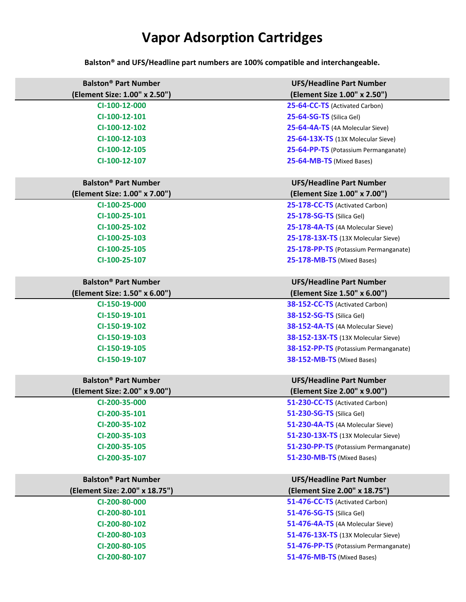# **Vapor Adsorption Cartridges**

**Balston® and UFS/Headline part numbers are 100% compatible and interchangeable.**

| <b>Balston<sup>®</sup> Part Number</b> | <b>UFS/Headline Part Number</b>            |
|----------------------------------------|--------------------------------------------|
| (Element Size: 1.00" x 2.50")          | (Element Size 1.00" x 2.50")               |
| CI-100-12-000                          | 25-64-CC-TS (Activated Carbon)             |
| CI-100-12-101                          | 25-64-SG-TS (Silica Gel)                   |
| CI-100-12-102                          | 25-64-4A-TS (4A Molecular Sieve)           |
| CI-100-12-103                          | 25-64-13X-TS (13X Molecular Sieve)         |
| CI-100-12-105                          | 25-64-PP-TS (Potassium Permanganate)       |
| CI-100-12-107                          | 25-64-MB-TS (Mixed Bases)                  |
|                                        |                                            |
| <b>Balston<sup>®</sup> Part Number</b> | <b>UFS/Headline Part Number</b>            |
| (Element Size: 1.00" x 7.00")          | (Element Size 1.00" x 7.00")               |
| CI-100-25-000                          | 25-178-CC-TS (Activated Carbon)            |
| CI-100-25-101                          | 25-178-SG-TS (Silica Gel)                  |
| CI-100-25-102                          | 25-178-4A-TS (4A Molecular Sieve)          |
| CI-100-25-103                          | 25-178-13X-TS (13X Molecular Sieve)        |
| CI-100-25-105                          | 25-178-PP-TS (Potassium Permanganate)      |
| CI-100-25-107                          | 25-178-MB-TS (Mixed Bases)                 |
|                                        |                                            |
| <b>Balston<sup>®</sup> Part Number</b> | <b>UFS/Headline Part Number</b>            |
| (Element Size: 1.50" x 6.00")          | (Element Size 1.50" x 6.00")               |
| CI-150-19-000                          | 38-152-CC-TS (Activated Carbon)            |
| CI-150-19-101                          | <b>38-152-SG-TS (Silica Gel)</b>           |
| CI-150-19-102                          | 38-152-4A-TS (4A Molecular Sieve)          |
| CI-150-19-103                          | 38-152-13X-TS (13X Molecular Sieve)        |
| CI-150-19-105                          | 38-152-PP-TS (Potassium Permanganate)      |
| CI-150-19-107                          | 38-152-MB-TS (Mixed Bases)                 |
| <b>Balston<sup>®</sup> Part Number</b> | <b>UFS/Headline Part Number</b>            |
| (Element Size: 2.00" x 9.00")          | (Element Size 2.00" x 9.00")               |
| CI-200-35-000                          | 51-230-CC-TS (Activated Carbon)            |
| CI-200-35-101                          | 51-230-SG-TS (Silica Gel)                  |
| CI-200-35-102                          | 51-230-4A-TS (4A Molecular Sieve)          |
| CI-200-35-103                          | <b>51-230-13X-TS</b> (13X Molecular Sieve) |
| CI-200-35-105                          | 51-230-PP-TS (Potassium Permanganate)      |
| CI-200-35-107                          | 51-230-MB-TS (Mixed Bases)                 |
|                                        |                                            |
| <b>Balston<sup>®</sup> Part Number</b> | <b>UFS/Headline Part Number</b>            |
| (Element Size: 2.00" x 18.75")         | (Element Size 2.00" x 18.75")              |
| CI-200-80-000                          | 51-476-CC-TS (Activated Carbon)            |
| CI-200-80-101                          | <b>51-476-SG-TS (Silica Gel)</b>           |
| CI-200-80-102                          | 51-476-4A-TS (4A Molecular Sieve)          |
| CI-200-80-103                          | 51-476-13X-TS (13X Molecular Sieve)        |
| CI-200-80-105                          | 51-476-PP-TS (Potassium Permanganate)      |
| CI-200-80-107                          | 51-476-MB-TS (Mixed Bases)                 |
|                                        |                                            |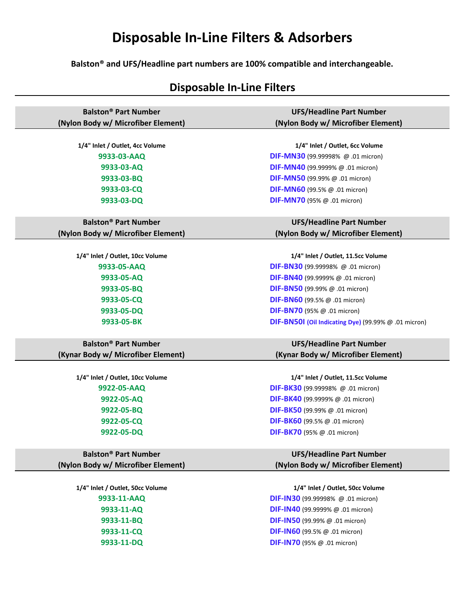# **Disposable In-Line Filters & Adsorbers**

**Balston® and UFS/Headline part numbers are 100% compatible and interchangeable.**

## **Disposable In-Line Filters**

| <b>Balston<sup>®</sup> Part Number</b> | <b>UFS/Headline Part Number</b>                      |
|----------------------------------------|------------------------------------------------------|
| (Nylon Body w/ Microfiber Element)     | (Nylon Body w/ Microfiber Element)                   |
|                                        |                                                      |
| 1/4" Inlet / Outlet, 4cc Volume        | 1/4" Inlet / Outlet, 6cc Volume                      |
| 9933-03-AAQ                            | <b>DIF-MN30</b> (99.99998% $@.01$ micron)            |
| 9933-03-AQ                             | DIF-MN40 (99.9999% @ .01 micron)                     |
| 9933-03-BQ                             | <b>DIF-MN50</b> (99.99% $@.01$ micron)               |
| 9933-03-CQ                             | <b>DIF-MN60</b> (99.5% $@.01$ micron)                |
| 9933-03-DQ                             | <b>DIF-MN70</b> (95% $@.01$ micron)                  |
|                                        |                                                      |
| <b>Balston<sup>®</sup> Part Number</b> | <b>UFS/Headline Part Number</b>                      |
| (Nylon Body w/ Microfiber Element)     | (Nylon Body w/ Microfiber Element)                   |
|                                        |                                                      |
| 1/4" Inlet / Outlet, 10cc Volume       | 1/4" Inlet / Outlet, 11.5cc Volume                   |
| 9933-05-AAQ                            | DIF-BN30 (99.99998% @ .01 micron)                    |
| 9933-05-AQ                             | DIF-BN40 (99.9999% @ .01 micron)                     |
| 9933-05-BQ                             | <b>DIF-BN50</b> (99.99% $@.01$ micron)               |
| 9933-05-CQ                             | <b>DIF-BN60</b> (99.5% $@.01$ micron)                |
| 9933-05-DQ                             | <b>DIF-BN70</b> (95% $@.01$ micron)                  |
| 9933-05-BK                             | DIF-BN50I (Oil Indicating Dye) (99.99% @ .01 micron) |
| <b>Balston<sup>®</sup> Part Number</b> | <b>UFS/Headline Part Number</b>                      |
| (Kynar Body w/ Microfiber Element)     | (Kynar Body w/ Microfiber Element)                   |
|                                        |                                                      |
| 1/4" Inlet / Outlet, 10cc Volume       | 1/4" Inlet / Outlet, 11.5cc Volume                   |
| 9922-05-AAQ                            | DIF-BK30 (99.99998% @ .01 micron)                    |
| 9922-05-AQ                             | DIF-BK40 (99.9999% @ .01 micron)                     |
| 9922-05-BQ                             | <b>DIF-BK50</b> (99.99% $@.01$ micron)               |
| 9922-05-CQ                             | DIF-BK60 (99.5% @ .01 micron)                        |
| 9922-05-DQ                             | <b>DIF-BK70</b> (95% $@.01$ micron)                  |
|                                        |                                                      |
| <b>Balston<sup>®</sup> Part Number</b> | <b>UFS/Headline Part Number</b>                      |
| (Nylon Body w/ Microfiber Element)     | (Nylon Body w/ Microfiber Element)                   |
|                                        |                                                      |
| 1/4" Inlet / Outlet, 50cc Volume       | 1/4" Inlet / Outlet, 50cc Volume                     |
| 9933-11-AAQ                            | <b>DIF-IN30</b> (99.99998% $@.01$ micron)            |
| 9933-11-AQ                             | <b>DIF-IN40</b> (99.9999% $@.01$ micron)             |
| 9933-11-BQ                             | <b>DIF-IN50</b> (99.99% $@.01$ micron)               |
| 9933-11-CQ                             | <b>DIF-IN60</b> (99.5% $@.01$ micron)                |
| 9933-11-DQ                             | <b>DIF-IN70</b> (95% $@.01$ micron)                  |
|                                        |                                                      |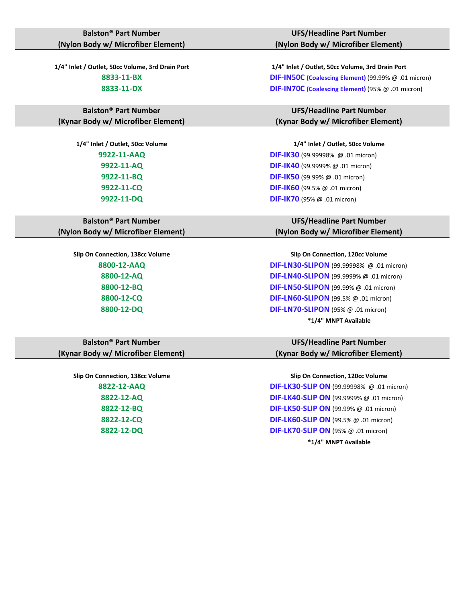### **Balston® Part Number (Nylon Body w/ Microfiber Element)**

**Balston® Part Number (Kynar Body w/ Microfiber Element)**

### **Balston® Part Number (Nylon Body w/ Microfiber Element)**

### **Balston® Part Number (Kynar Body w/ Microfiber Element)**

### **UFS/Headline Part Number (Nylon Body w/ Microfiber Element)**

**1/4" Inlet / Outlet, 50cc Volume, 3rd Drain Port 1/4" Inlet / Outlet, 50cc Volume, 3rd Drain Port 8833-11-BX DIF-IN50C (Coalescing Element)** (99.99% @ .01 micron) **8833-11-DX DIF-IN70C (Coalescing Element)** (95% @ .01 micron)

> **UFS/Headline Part Number (Kynar Body w/ Microfiber Element)**

**1/4" Inlet / Outlet, 50cc Volume 1/4" Inlet / Outlet, 50cc Volume 9922-11-AAQ DIF-IK30** (99.99998% @ .01 micron) **9922-11-AQ DIF-IK40** (99.9999% @ .01 micron) **9922-11-BQ DIF-IK50** (99.99% @ .01 micron) **9922-11-CQ DIF-IK60** (99.5% @ .01 micron) **9922-11-DQ DIF-IK70** (95% @ .01 micron)

### **UFS/Headline Part Number (Nylon Body w/ Microfiber Element)**

**Slip On Connection, 138cc Volume Slip On Connection, 120cc Volume 8800-12-AAQ DIF-LN30-SLIPON** (99.99998% @ .01 micron) **8800-12-AQ DIF-LN40-SLIPON** (99.9999% @ .01 micron) **8800-12-BQ DIF-LN50-SLIPON** (99.99% @ .01 micron) **8800-12-CQ DIF-LN60-SLIPON** (99.5% @ .01 micron) **8800-12-DQ DIF-LN70-SLIPON** (95% @ .01 micron) **\*1/4" MNPT Available**

### **UFS/Headline Part Number (Kynar Body w/ Microfiber Element)**

**Slip On Connection, 138cc Volume Slip On Connection, 120cc Volume 8822-12-AAQ DIF-LK30-SLIP ON** (99.99998% @ .01 micron) **8822-12-AQ DIF-LK40-SLIP ON** (99.9999% @ .01 micron) **8822-12-BQ DIF-LK50-SLIP ON** (99.99% @ .01 micron) **8822-12-CQ DIF-LK60-SLIP ON** (99.5% @ .01 micron) **8822-12-DQ DIF-LK70-SLIP ON** (95% @ .01 micron) **\*1/4" MNPT Available**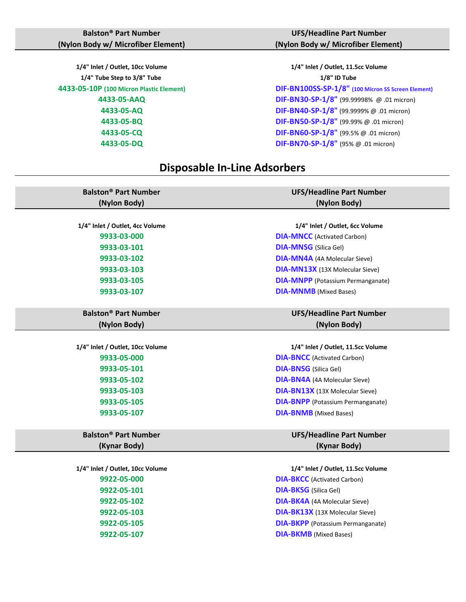**1/4" Tube Step to 3/8" Tube 1/8" ID Tube** 

### **UFS/Headline Part Number (Nylon Body w/ Microfiber Element)**

**1/4" Inlet / Outlet, 10cc Volume 1/4" Inlet / Outlet, 11.5cc Volume 4433-05-10P (100 Micron Plastic Element) DIF-BN100SS-SP-1/8" (100 Micron SS Screen Element) 4433-05-AAQ DIF-BN30-SP-1/8"** (99.99998% @ .01 micron) **4433-05-AQ DIF-BN40-SP-1/8"** (99.9999% @ .01 micron) **4433-05-BQ DIF-BN50-SP-1/8"** (99.99% @ .01 micron) **4433-05-CQ DIF-BN60-SP-1/8"** (99.5% @ .01 micron) **4433-05-DQ DIF-BN70-SP-1/8"** (95% @ .01 micron)

### **Disposable In-Line Adsorbers**

| <b>Balston<sup>®</sup> Part Number</b> | <b>UFS/Headline Part Number</b>          |
|----------------------------------------|------------------------------------------|
| (Nylon Body)                           | (Nylon Body)                             |
|                                        |                                          |
| 1/4" Inlet / Outlet, 4cc Volume        | 1/4" Inlet / Outlet, 6cc Volume          |
| 9933-03-000                            | <b>DIA-MNCC</b> (Activated Carbon)       |
| 9933-03-101                            | <b>DIA-MNSG</b> (Silica Gel)             |
| 9933-03-102                            | <b>DIA-MN4A</b> (4A Molecular Sieve)     |
| 9933-03-103                            | <b>DIA-MN13X</b> (13X Molecular Sieve)   |
| 9933-03-105                            | <b>DIA-MNPP</b> (Potassium Permanganate) |
| 9933-03-107                            | <b>DIA-MNMB</b> (Mixed Bases)            |
|                                        |                                          |
| <b>Balston<sup>®</sup> Part Number</b> | <b>UFS/Headline Part Number</b>          |
| (Nylon Body)                           | (Nylon Body)                             |
|                                        |                                          |
| 1/4" Inlet / Outlet, 10cc Volume       | 1/4" Inlet / Outlet, 11.5cc Volume       |
| 9933-05-000                            | <b>DIA-BNCC</b> (Activated Carbon)       |
| 9933-05-101                            | <b>DIA-BNSG</b> (Silica Gel)             |
| 9933-05-102                            | <b>DIA-BN4A</b> (4A Molecular Sieve)     |
| 9933-05-103                            | <b>DIA-BN13X</b> (13X Molecular Sieve)   |
| 9933-05-105                            | <b>DIA-BNPP</b> (Potassium Permanganate) |
| 9933-05-107                            | <b>DIA-BNMB</b> (Mixed Bases)            |
|                                        |                                          |
| <b>Balston<sup>®</sup> Part Number</b> | <b>UFS/Headline Part Number</b>          |
| (Kynar Body)                           | (Kynar Body)                             |
|                                        |                                          |
| 1/4" Inlet / Outlet, 10cc Volume       | 1/4" Inlet / Outlet, 11.5cc Volume       |
| 9922-05-000                            | <b>DIA-BKCC</b> (Activated Carbon)       |
| 9922-05-101                            | <b>DIA-BKSG</b> (Silica Gel)             |
| 9922-05-102                            | <b>DIA-BK4A</b> (4A Molecular Sieve)     |
| 9922-05-103                            | <b>DIA-BK13X</b> (13X Molecular Sieve)   |
| 9922-05-105                            | <b>DIA-BKPP</b> (Potassium Permanganate) |
| 9922-05-107                            | <b>DIA-BKMB</b> (Mixed Bases)            |
|                                        |                                          |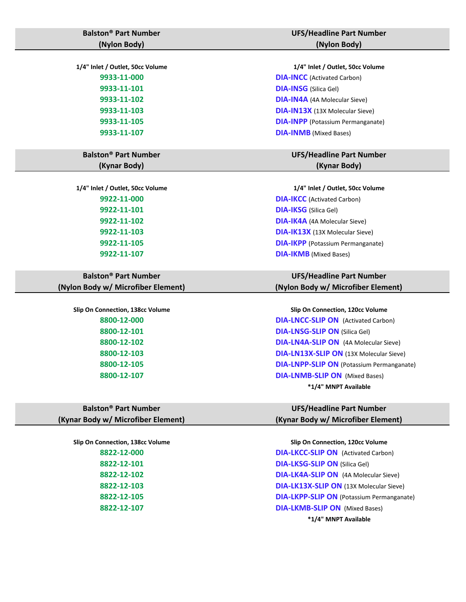| <b>Balston<sup>®</sup> Part Number</b> | <b>UFS/Headline Part Number</b>                  |
|----------------------------------------|--------------------------------------------------|
| (Nylon Body)                           | (Nylon Body)                                     |
|                                        |                                                  |
| 1/4" Inlet / Outlet, 50cc Volume       | 1/4" Inlet / Outlet, 50cc Volume                 |
| 9933-11-000                            | <b>DIA-INCC</b> (Activated Carbon)               |
| 9933-11-101                            | <b>DIA-INSG</b> (Silica Gel)                     |
| 9933-11-102                            | <b>DIA-IN4A</b> (4A Molecular Sieve)             |
| 9933-11-103                            | <b>DIA-IN13X</b> (13X Molecular Sieve)           |
| 9933-11-105                            | <b>DIA-INPP</b> (Potassium Permanganate)         |
| 9933-11-107                            | <b>DIA-INMB</b> (Mixed Bases)                    |
|                                        |                                                  |
| <b>Balston<sup>®</sup> Part Number</b> | <b>UFS/Headline Part Number</b>                  |
| (Kynar Body)                           | (Kynar Body)                                     |
|                                        |                                                  |
| 1/4" Inlet / Outlet, 50cc Volume       | 1/4" Inlet / Outlet, 50cc Volume                 |
| 9922-11-000                            | <b>DIA-IKCC</b> (Activated Carbon)               |
| 9922-11-101                            | <b>DIA-IKSG</b> (Silica Gel)                     |
| 9922-11-102                            | <b>DIA-IK4A</b> (4A Molecular Sieve)             |
| 9922-11-103                            | DIA-IK13X (13X Molecular Sieve)                  |
| 9922-11-105                            | <b>DIA-IKPP</b> (Potassium Permanganate)         |
| 9922-11-107                            | <b>DIA-IKMB</b> (Mixed Bases)                    |
|                                        |                                                  |
| <b>Balston<sup>®</sup> Part Number</b> | <b>UFS/Headline Part Number</b>                  |
| (Nylon Body w/ Microfiber Element)     | (Nylon Body w/ Microfiber Element                |
|                                        |                                                  |
| Slip On Connection, 138cc Volume       | Slip On Connection, 120cc Volume                 |
| 8800-12-000                            | <b>DIA-LNCC-SLIP ON</b> (Activated Carbon)       |
| 8800-12-101                            | <b>DIA-LNSG-SLIP ON (Silica Gel)</b>             |
| 8800-12-102                            | <b>DIA-LN4A-SLIP ON</b> (4A Molecular Sieve)     |
| 8800-12-103                            | DIA-LN13X-SLIP ON (13X Molecular Siev            |
| 8800-12-105                            | <b>DIA-LNPP-SLIP ON (Potassium Permangation)</b> |
| 8800-12-107                            | <b>DIA-LNMB-SLIP ON (Mixed Bases)</b>            |
|                                        |                                                  |

**Balston® Part Number (Kynar Body w/ Microfiber Element)**

# nber

### nber **Element)**

**8 B Examber Permanganate) \*1/4" MNPT Available**

### **UFS/Headline Part Number (Kynar Body w/ Microfiber Element)**

**Slip On Connection, 138cc Volume Slip On Connection, 120cc Volume 8822-12-000 DIA-LKCC-SLIP ON** (Activated Carbon) **8822-12-101 DIA-LKSG-SLIP ON** (Silica Gel) **8822-12-102 DIA-LK4A-SLIP ON** (4A Molecular Sieve) **8822-12-103 DIA-LK13X-SLIP ON** (13X Molecular Sieve) **8822-12-105 DIA-LKPP-SLIP ON** (Potassium Permanganate) **8822-12-107 DIA-LKMB-SLIP ON** (Mixed Bases)

**\*1/4" MNPT Available**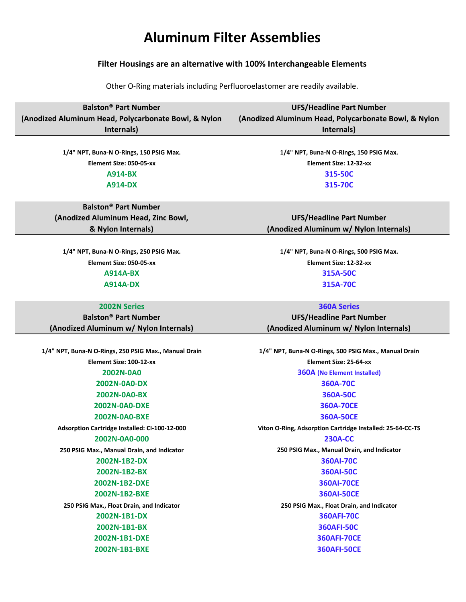# **Aluminum Filter Assemblies**

### **Filter Housings are an alternative with 100% Interchangeable Elements**

Other O-Ring materials including Perfluoroelastomer are readily available.

| <b>Balston<sup>®</sup> Part Number</b>                | <b>UFS/Headline Part Number</b>                           |
|-------------------------------------------------------|-----------------------------------------------------------|
| (Anodized Aluminum Head, Polycarbonate Bowl, & Nylon  | (Anodized Aluminum Head, Polycarbonate Bowl, & Nylon      |
| Internals)                                            | Internals)                                                |
|                                                       |                                                           |
| 1/4" NPT, Buna-N O-Rings, 150 PSIG Max.               | 1/4" NPT, Buna-N O-Rings, 150 PSIG Max.                   |
| Element Size: 050-05-xx                               | Element Size: 12-32-xx                                    |
| <b>A914-BX</b>                                        | 315-50C                                                   |
| <b>A914-DX</b>                                        | 315-70C                                                   |
|                                                       |                                                           |
| <b>Balston<sup>®</sup> Part Number</b>                |                                                           |
| (Anodized Aluminum Head, Zinc Bowl,                   | <b>UFS/Headline Part Number</b>                           |
| & Nylon Internals)                                    | (Anodized Aluminum w/ Nylon Internals)                    |
|                                                       |                                                           |
| 1/4" NPT, Buna-N O-Rings, 250 PSIG Max.               | 1/4" NPT, Buna-N O-Rings, 500 PSIG Max.                   |
| Element Size: 050-05-xx                               | Element Size: 12-32-xx                                    |
| <b>A914A-BX</b>                                       | 315A-50C                                                  |
| <b>A914A-DX</b>                                       | 315A-70C                                                  |
|                                                       |                                                           |
| <b>2002N Series</b>                                   | <b>360A Series</b>                                        |
| <b>Balston<sup>®</sup> Part Number</b>                | <b>UFS/Headline Part Number</b>                           |
| (Anodized Aluminum w/ Nylon Internals)                | (Anodized Aluminum w/ Nylon Internals)                    |
|                                                       |                                                           |
| 1/4" NPT, Buna-N O-Rings, 250 PSIG Max., Manual Drain | 1/4" NPT, Buna-N O-Rings, 500 PSIG Max., Manual Drain     |
| Element Size: 100-12-xx                               | Element Size: 25-64-xx                                    |
| 2002N-0A0                                             | <b>360A (No Element Installed)</b>                        |
| 2002N-0A0-DX                                          | 360A-70C                                                  |
| 2002N-0A0-BX                                          | 360A-50C                                                  |
| 2002N-0A0-DXE                                         | 360A-70CE                                                 |
| 2002N-0A0-BXE                                         | 360A-50CE                                                 |
| Adsorption Cartridge Installed: CI-100-12-000         | Viton O-Ring, Adsorption Cartridge Installed: 25-64-CC-TS |
| 2002N-0A0-000                                         | <b>230A-CC</b>                                            |
| 250 PSIG Max., Manual Drain, and Indicator            | 250 PSIG Max., Manual Drain, and Indicator                |
| 2002N-1B2-DX                                          | 360AI-70C                                                 |
| 2002N-1B2-BX                                          | 360AI-50C                                                 |
| 2002N-1B2-DXE                                         | <b>360AI-70CE</b>                                         |
| 2002N-1B2-BXE                                         | <b>360AI-50CE</b>                                         |
| 250 PSIG Max., Float Drain, and Indicator             | 250 PSIG Max., Float Drain, and Indicator                 |
| 2002N-1B1-DX                                          | <b>360AFI-70C</b>                                         |
| 2002N-1B1-BX                                          | <b>360AFI-50C</b>                                         |
| 2002N-1B1-DXE                                         | <b>360AFI-70CE</b>                                        |
| 2002N-1B1-BXE                                         | <b>360AFI-50CE</b>                                        |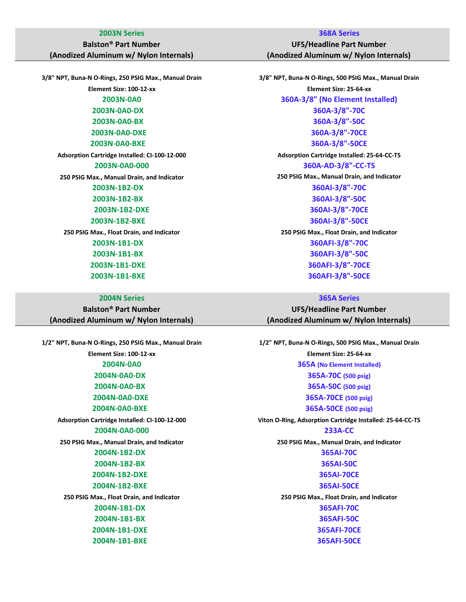### **2003N Series 368A Series**

## **Balston® Part Number**

**(Anodized Aluminum w/ Nylon Internals)**

**3/8" NPT, Buna-N O-Rings, 250 PSIG Max., Manual Drain 3/8" NPT, Buna-N O-Rings, 500 PSIG Max., Manual Drain**

### **2004N Series 365A Series**

**Balston® Part Number (Anodized Aluminum w/ Nylon Internals)**

**2004N-0A0-000 233A-CC**

**UFS/Headline Part Number (Anodized Aluminum w/ Nylon Internals)**

**Element Size: 100-12-xx Element Size: 25-64-xx 2003N-0A0 360A-3/8" (No Element Installed) 2003N-0A0-DX 360A-3/8"-70C 2003N-0A0-BX 360A-3/8"-50C 2003N-0A0-DXE 360A-3/8"-70CE 2003N-0A0-BXE 360A-3/8"-50CE Adsorption Cartridge Installed: CI-100-12-000 Adsorption Cartridge Installed: 25-64-CC-TS 2003N-0A0-000 360A-AD-3/8"-CC-TS 250 PSIG Max., Manual Drain, and Indicator 250 PSIG Max., Manual Drain, and Indicator 2003N-1B2-DX 360AI-3/8"-70C 2003N-1B2-BX 360AI-3/8"-50C 2003N-1B2-DXE 360AI-3/8"-70CE 2003N-1B2-BXE 360AI-3/8"-50CE 250 PSIG Max., Float Drain, and Indicator 250 PSIG Max., Float Drain, and Indicator 2003N-1B1-DX 360AFI-3/8"-70C 2003N-1B1-BX 360AFI-3/8"-50C 2003N-1B1-DXE 360AFI-3/8"-70CE 2003N-1B1-BXE 360AFI-3/8"-50CE**

**UFS/Headline Part Number (Anodized Aluminum w/ Nylon Internals)**

**1/2" NPT, Buna-N O-Rings, 250 PSIG Max., Manual Drain 1/2" NPT, Buna-N O-Rings, 500 PSIG Max., Manual Drain Element Size: 100-12-xx Element Size: 25-64-xx 2004N-0A0 365A (No Element Installed) 2004N-0A0-DX 365A-70C (500 psig) 2004N-0A0-BX 365A-50C (500 psig) 2004N-0A0-DXE 365A-70CE (500 psig) 2004N-0A0-BXE 365A-50CE (500 psig) Adsorption Cartridge Installed: CI-100-12-000 Viton O-Ring, Adsorption Cartridge Installed: 25-64-CC-TS 250 PSIG Max., Manual Drain, and Indicator 250 PSIG Max., Manual Drain, and Indicator 2004N-1B2-DX 365AI-70C 2004N-1B2-BX 365AI-50C 2004N-1B2-DXE 365AI-70CE 2004N-1B2-BXE 365AI-50CE 250 PSIG Max., Float Drain, and Indicator 250 PSIG Max., Float Drain, and Indicator 2004N-1B1-DX 365AFI-70C 2004N-1B1-BX 365AFI-50C 2004N-1B1-DXE 365AFI-70CE 2004N-1B1-BXE 365AFI-50CE**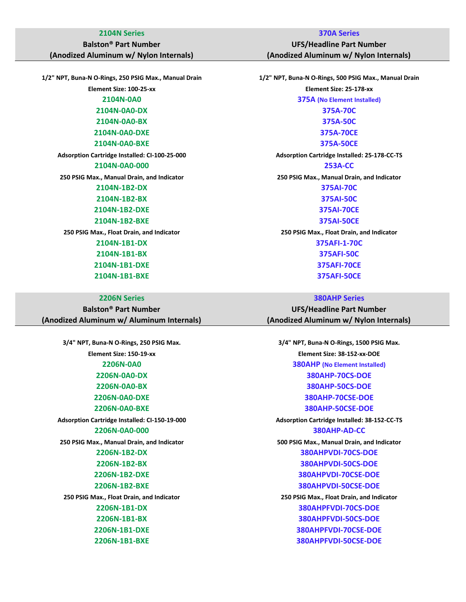### **2104N Series 370A Series**

### **Balston® Part Number**

**(Anodized Aluminum w/ Nylon Internals)**

**1/2" NPT, Buna-N O-Rings, 250 PSIG Max., Manual Drain 1/2" NPT, Buna-N O-Rings, 500 PSIG Max., Manual Drain**

| <b>Balston<sup>®</sup> Part Number</b>    |
|-------------------------------------------|
| (Anodized Aluminum w/ Aluminum Internals) |

**UFS/Headline Part Number (Anodized Aluminum w/ Nylon Internals)**

**Element Size: 100-25-xx Element Size: 25-178-xx 2104N-0A0 375A (No Element Installed) 2104N-0A0-DX 375A-70C 2104N-0A0-BX 375A-50C 2104N-0A0-DXE 375A-70CE 2104N-0A0-BXE 375A-50CE Adsorption Cartridge Installed: CI-100-25-000 Adsorption Cartridge Installed: 25-178-CC-TS 2104N-0A0-000 253A-CC 250 PSIG Max., Manual Drain, and Indicator 250 PSIG Max., Manual Drain, and Indicator 2104N-1B2-DX 375AI-70C 2104N-1B2-BX 375AI-50C 2104N-1B2-DXE 375AI-70CE 2104N-1B2-BXE 375AI-50CE 250 PSIG Max., Float Drain, and Indicator 250 PSIG Max., Float Drain, and Indicator 2104N-1B1-DX 375AFI-1-70C 2104N-1B1-BX 375AFI-50C 2104N-1B1-DXE 375AFI-70CE 2104N-1B1-BXE 375AFI-50CE**

**2206N Series 380AHP Series**

**UFS/Headline Part Number (Anodized Aluminum w/ Nylon Internals)**

**3/4" NPT, Buna-N O-Rings, 250 PSIG Max. 3/4" NPT, Buna-N O-Rings, 1500 PSIG Max. Element Size: 150-19-xx Element Size: 38-152-xx-DOE 2206N-0A0 380AHP (No Element Installed) 2206N-0A0-DX 380AHP-70CS-DOE 2206N-0A0-BX 380AHP-50CS-DOE 2206N-0A0-DXE 380AHP-70CSE-DOE 2206N-0A0-BXE 380AHP-50CSE-DOE Adsorption Cartridge Installed: CI-150-19-000 Adsorption Cartridge Installed: 38-152-CC-TS 2206N-0A0-000 380AHP-AD-CC 250 PSIG Max., Manual Drain, and Indicator 500 PSIG Max., Manual Drain, and Indicator 2206N-1B2-DX 380AHPVDI-70CS-DOE 2206N-1B2-BX 380AHPVDI-50CS-DOE 2206N-1B2-DXE 380AHPVDI-70CSE-DOE 2206N-1B2-BXE 380AHPVDI-50CSE-DOE 250 PSIG Max., Float Drain, and Indicator 250 PSIG Max., Float Drain, and Indicator 2206N-1B1-DX 380AHPFVDI-70CS-DOE 2206N-1B1-BX 380AHPFVDI-50CS-DOE 2206N-1B1-DXE 380AHPFVDI-70CSE-DOE 2206N-1B1-BXE 380AHPFVDI-50CSE-DOE**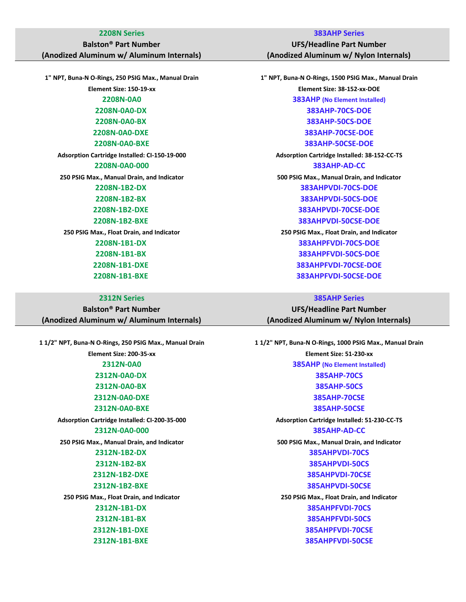## **Balston® Part Number**

**(Anodized Aluminum w/ Aluminum Internals)**

**1" NPT, Buna-N O-Rings, 250 PSIG Max., Manual Drain 1" NPT, Buna-N O-Rings, 1500 PSIG Max., Manual Drain**

| <b>Balston<sup>®</sup> Part Number</b>    |
|-------------------------------------------|
| (Anodized Aluminum w/ Aluminum Internals) |

**2208N Series 383AHP Series**

**UFS/Headline Part Number (Anodized Aluminum w/ Nylon Internals)**

**Element Size: 150-19-xx Element Size: 38-152-xx-DOE 2208N-0A0 383AHP (No Element Installed) 2208N-0A0-DX 383AHP-70CS-DOE 2208N-0A0-BX 383AHP-50CS-DOE 2208N-0A0-DXE 383AHP-70CSE-DOE 2208N-0A0-BXE 383AHP-50CSE-DOE Adsorption Cartridge Installed: CI-150-19-000 Adsorption Cartridge Installed: 38-152-CC-TS 2208N-0A0-000 383AHP-AD-CC 250 PSIG Max., Manual Drain, and Indicator 500 PSIG Max., Manual Drain, and Indicator 2208N-1B2-DX 383AHPVDI-70CS-DOE 2208N-1B2-BX 383AHPVDI-50CS-DOE 2208N-1B2-DXE 383AHPVDI-70CSE-DOE 2208N-1B2-BXE 383AHPVDI-50CSE-DOE 250 PSIG Max., Float Drain, and Indicator 250 PSIG Max., Float Drain, and Indicator 2208N-1B1-DX 383AHPFVDI-70CS-DOE 2208N-1B1-BX 383AHPFVDI-50CS-DOE 2208N-1B1-DXE 383AHPFVDI-70CSE-DOE 2208N-1B1-BXE 383AHPFVDI-50CSE-DOE**

> **2312N Series 385AHP Series UFS/Headline Part Number (Anodized Aluminum w/ Nylon Internals)**

**1 1/2" NPT, Buna-N O-Rings, 250 PSIG Max., Manual Drain 1 1/2" NPT, Buna-N O-Rings, 1000 PSIG Max., Manual Drain Element Size: 200-35-xx Element Size: 51-230-xx 2312N-0A0 385AHP (No Element Installed) 2312N-0A0-DX 385AHP-70CS 2312N-0A0-BX 385AHP-50CS 2312N-0A0-DXE 385AHP-70CSE 2312N-0A0-BXE 385AHP-50CSE Adsorption Cartridge Installed: CI-200-35-000 Adsorption Cartridge Installed: 51-230-CC-TS 2312N-0A0-000 385AHP-AD-CC 250 PSIG Max., Manual Drain, and Indicator 500 PSIG Max., Manual Drain, and Indicator 2312N-1B2-DX 385AHPVDI-70CS 2312N-1B2-BX 385AHPVDI-50CS 2312N-1B2-DXE 385AHPVDI-70CSE 2312N-1B2-BXE 385AHPVDI-50CSE 250 PSIG Max., Float Drain, and Indicator 250 PSIG Max., Float Drain, and Indicator 2312N-1B1-DX 385AHPFVDI-70CS 2312N-1B1-BX 385AHPFVDI-50CS 2312N-1B1-DXE 385AHPFVDI-70CSE 2312N-1B1-BXE 385AHPFVDI-50CSE**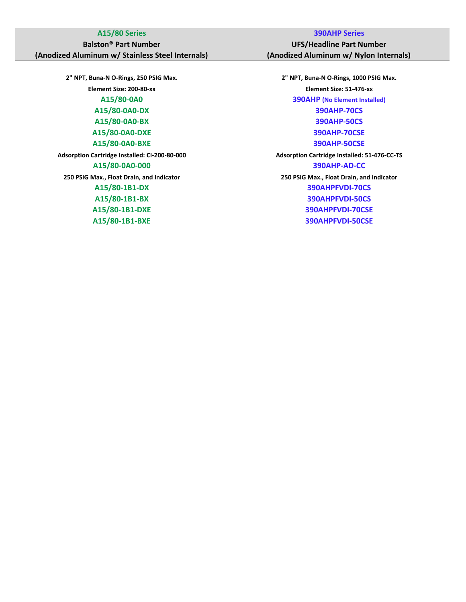### **Balston® Part Number (Anodized Aluminum w/ Stainless Steel Internals)**

**2" NPT, Buna-N O-Rings, 250 PSIG Max. 2" NPT, Buna-N O-Rings, 1000 PSIG Max. A15/80-0A0-DX 390AHP-70CS A15/80-0A0-DXE 390AHP-70CSE**

### **A15/80 Series 390AHP Series**

**UFS/Headline Part Number (Anodized Aluminum w/ Nylon Internals)**

**Element Size: 200-80-xx Element Size: 51-476-xx A15/80-0A0 390AHP (No Element Installed) A15/80-0A0-BX 390AHP-50CS A15/80-0A0-BXE 390AHP-50CSE Adsorption Cartridge Installed: CI-200-80-000 Adsorption Cartridge Installed: 51-476-CC-TS A15/80-0A0-000 390AHP-AD-CC 250 PSIG Max., Float Drain, and Indicator 250 PSIG Max., Float Drain, and Indicator A15/80-1B1-DX 390AHPFVDI-70CS A15/80-1B1-BX 390AHPFVDI-50CS A15/80-1B1-DXE 390AHPFVDI-70CSE A15/80-1B1-BXE 390AHPFVDI-50CSE**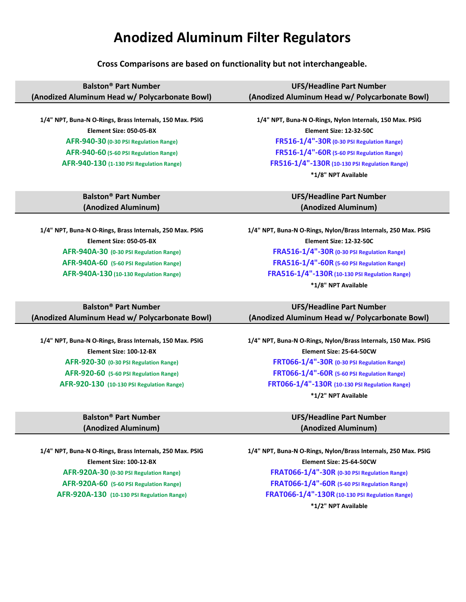## **Anodized Aluminum Filter Regulators**

**Cross Comparisons are based on functionality but not interchangeable.**

| <b>Balston® Part Number</b>                              | <b>UFS/Headline Part Number</b>                                |
|----------------------------------------------------------|----------------------------------------------------------------|
| (Anodized Aluminum Head w/ Polycarbonate Bowl)           | (Anodized Aluminum Head w/ Polycarbonate Bowl)                 |
|                                                          |                                                                |
| 1/4" NPT, Buna-N O-Rings, Brass Internals, 150 Max. PSIG | 1/4" NPT, Buna-N O-Rings, Nylon Internals, 150 Max. PSIG       |
| Element Size: 050-05-BX                                  | Element Size: 12-32-50C                                        |
| AFR-940-30 (0-30 PSI Regulation Range)                   | FR516-1/4"-30R (0-30 PSI Regulation Range)                     |
| AFR-940-60 (5-60 PSI Regulation Range)                   | FR516-1/4"-60R (5-60 PSI Regulation Range)                     |
| AFR-940-130 (1-130 PSI Regulation Range)                 | FR516-1/4"-130R (10-130 PSI Regulation Range)                  |
|                                                          | *1/8" NPT Available                                            |
|                                                          |                                                                |
| <b>Balston<sup>®</sup> Part Number</b>                   | <b>UFS/Headline Part Number</b>                                |
|                                                          |                                                                |
| (Anodized Aluminum)                                      | (Anodized Aluminum)                                            |
|                                                          |                                                                |
| 1/4" NPT, Buna-N O-Rings, Brass Internals, 250 Max. PSIG | 1/4" NPT, Buna-N O-Rings, Nylon/Brass Internals, 250 Max. PSIG |
| Element Size: 050-05-BX                                  | Element Size: 12-32-50C                                        |
| AFR-940A-30 (0-30 PSI Regulation Range)                  | FRA516-1/4"-30R (0-30 PSI Regulation Range)                    |
| AFR-940A-60 (5-60 PSI Regulation Range)                  | FRA516-1/4"-60R (5-60 PSI Regulation Range)                    |
| AFR-940A-130 (10-130 Regulation Range)                   | FRA516-1/4"-130R (10-130 PSI Regulation Range)                 |
|                                                          | *1/8" NPT Available                                            |
|                                                          |                                                                |

| <b>Balston<sup>®</sup> Part Number</b>         | UFS/Headline Part Number                       |
|------------------------------------------------|------------------------------------------------|
| (Anodized Aluminum Head w/ Polycarbonate Bowl) | (Anodized Aluminum Head w/ Polycarbonate Bowl) |

### **Balston® Part Number (Anodized Aluminum)**

**1/4" NPT, Buna-N O-Rings, Brass Internals, 150 Max. PSIG 1/4" NPT, Buna-N O-Rings, Nylon/Brass Internals, 150 Max. PSIG Element Size: 100-12-BX Element Size: 25-64-50CW AFR-920-30 (0-30 PSI Regulation Range) FRT066-1/4"-30R (0-30 PSI Regulation Range) AFR-920-60 (5-60 PSI Regulation Range) FRT066-1/4"-60R (5-60 PSI Regulation Range) AFR-920-130 (10-130 PSI Regulation Range) FRT066-1/4"-130R (10-130 PSI Regulation Range) \*1/2" NPT Available**

### **UFS/Headline Part Number (Anodized Aluminum)**

**1/4" NPT, Buna-N O-Rings, Brass Internals, 250 Max. PSIG 1/4" NPT, Buna-N O-Rings, Nylon/Brass Internals, 250 Max. PSIG Element Size: 100-12-BX Element Size: 25-64-50CW AFR-920A-30 (0-30 PSI Regulation Range) FRAT066-1/4"-30R (0-30 PSI Regulation Range) AFR-920A-60 (5-60 PSI Regulation Range) FRAT066-1/4"-60R (5-60 PSI Regulation Range) AFR-920A-130 (10-130 PSI Regulation Range) FRAT066-1/4"-130R (10-130 PSI Regulation Range) \*1/2" NPT Available**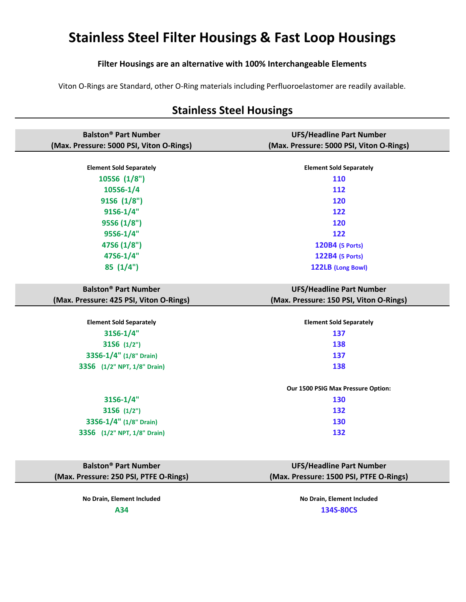# **Stainless Steel Filter Housings & Fast Loop Housings**

### **Filter Housings are an alternative with 100% Interchangeable Elements**

Viton O-Rings are Standard, other O-Ring materials including Perfluoroelastomer are readily available.

| <b>Balston<sup>®</sup> Part Number</b>   | <b>UFS/Headline Part Number</b>          |
|------------------------------------------|------------------------------------------|
| (Max. Pressure: 5000 PSI, Viton O-Rings) | (Max. Pressure: 5000 PSI, Viton O-Rings) |
|                                          |                                          |
| <b>Element Sold Separately</b>           | <b>Element Sold Separately</b>           |
| 105S6 (1/8")                             | 110                                      |
| 105S6-1/4                                | 112                                      |
| 91S6 (1/8")                              | 120                                      |
| $91S6 - 1/4"$                            | 122                                      |
| 95S6 (1/8")                              | 120                                      |
| 95S6-1/4"                                | 122                                      |
| 47S6 (1/8")                              | 120B4 (5 Ports)                          |
| 47S6-1/4"                                | 122B4 (5 Ports)                          |
| 85(1/4")                                 | 122LB (Long Bowl)                        |
|                                          |                                          |
| <b>Balston<sup>®</sup> Part Number</b>   | <b>UFS/Headline Part Number</b>          |
| (Max. Pressure: 425 PSI, Viton O-Rings)  | (Max. Pressure: 150 PSI, Viton O-Rings)  |
|                                          |                                          |
| <b>Element Sold Separately</b>           | <b>Element Sold Separately</b>           |
| $31S6 - 1/4"$                            | 137                                      |
| 31S6 (1/2")                              | 138                                      |
| 33S6-1/4" (1/8" Drain)                   | 137                                      |
| 33S6 (1/2" NPT, 1/8" Drain)              | 138                                      |
|                                          |                                          |
|                                          | Our 1500 PSIG Max Pressure Option:       |
| $31S6 - 1/4"$                            | 130                                      |
| 3156 (1/2")                              | 132                                      |
| 33S6-1/4" (1/8" Drain)                   | 130                                      |
| 33S6 (1/2" NPT, 1/8" Drain)              | 132                                      |
|                                          |                                          |
|                                          |                                          |
| <b>Balston<sup>®</sup> Part Number</b>   | <b>UFS/Headline Part Number</b>          |
| (Max. Pressure: 250 PSI, PTFE O-Rings)   | (Max. Pressure: 1500 PSI, PTFE O-Rings)  |

## **Stainless Steel Housings**

**No Drain, Element Included No Drain, Element Included A34 134S-80CS**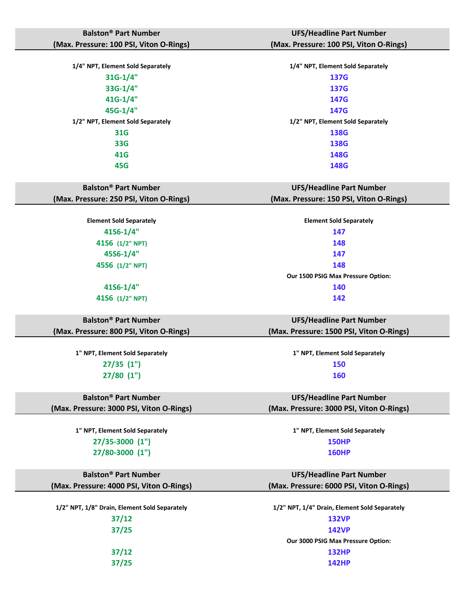| <b>Balston<sup>®</sup> Part Number</b>   | <b>UFS/Headline Part Number</b>          |
|------------------------------------------|------------------------------------------|
| (Max. Pressure: 100 PSI, Viton O-Rings)  | (Max. Pressure: 100 PSI, Viton O-Rings)  |
|                                          |                                          |
| 1/4" NPT, Element Sold Separately        | 1/4" NPT, Element Sold Separately        |
| $31G-1/4"$                               | 137G                                     |
| 33G-1/4"                                 | 137G                                     |
| 41G-1/4"                                 | 147G                                     |
| 45G-1/4"                                 | 147G                                     |
| 1/2" NPT, Element Sold Separately        | 1/2" NPT, Element Sold Separately        |
| <b>31G</b>                               | <b>138G</b>                              |
| <b>33G</b>                               | 138G                                     |
| 41G                                      | 148G                                     |
| 45G                                      | 148G                                     |
|                                          |                                          |
| <b>Balston<sup>®</sup> Part Number</b>   | <b>UFS/Headline Part Number</b>          |
| (Max. Pressure: 250 PSI, Viton O-Rings)  | (Max. Pressure: 150 PSI, Viton O-Rings)  |
|                                          |                                          |
| <b>Element Sold Separately</b>           | <b>Element Sold Separately</b>           |
| $41S6 - 1/4$ "                           | 147                                      |
| 41S6 (1/2" NPT)                          | 148                                      |
| 45S6-1/4"                                | 147                                      |
| 45S6 (1/2" NPT)                          | 148                                      |
|                                          | Our 1500 PSIG Max Pressure Option:       |
| $41S6 - 1/4$ "                           | 140                                      |
| 41S6 (1/2" NPT)                          | 142                                      |
|                                          |                                          |
| <b>Balston<sup>®</sup> Part Number</b>   | <b>UFS/Headline Part Number</b>          |
| (Max. Pressure: 800 PSI, Viton O-Rings)  | (Max. Pressure: 1500 PSI, Viton O-Rings) |
|                                          |                                          |
| 1" NPT, Element Sold Separately          | 1" NPT, Element Sold Separately          |
| $27/35$ $(1")$                           | 150                                      |
| $27/80$ $(1")$                           | 160                                      |
|                                          |                                          |
| <b>Balston<sup>®</sup> Part Number</b>   | <b>UFS/Headline Part Number</b>          |
| (Max. Pressure: 3000 PSI, Viton O-Rings) | (Max. Pressure: 3000 PSI, Viton O-Rings) |
|                                          |                                          |
| 1" NPT, Element Sold Separately          | 1" NPT, Element Sold Separately          |
| 27/35-3000 (1")                          | <b>150HP</b>                             |
| 27/80-3000 (1")                          | <b>160HP</b>                             |
|                                          |                                          |
| <b>Balston<sup>®</sup> Part Number</b>   | <b>UFS/Headline Part Number</b>          |
| (Max. Pressure: 4000 PSI, Viton O-Rings) | (Max. Pressure: 6000 PSI, Viton O-Rings) |
|                                          |                                          |

**1/2" NPT, 1/8" Drain, Element Sold Separately 1/2" NPT, 1/4" Drain, Element Sold Separately**

**37/12 132VP**

**37/25 142VP Our 3000 PSIG Max Pressure Option: 37/12 132HP 37/25 142HP**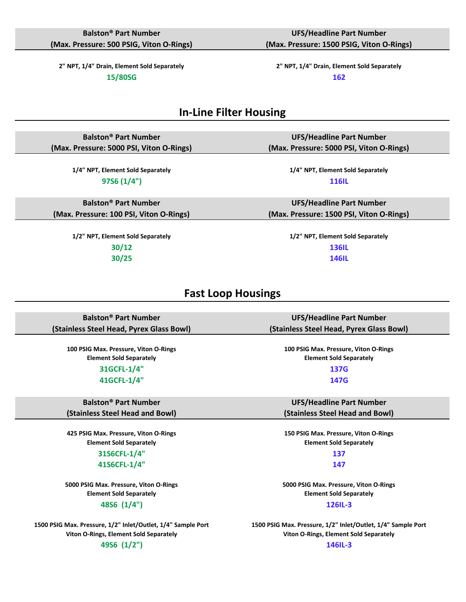**2" NPT, 1/4" Drain, Element Sold Separately 2" NPT, 1/4" Drain, Element Sold Separately**

**15/80SG 162**

**UFS/Headline Part Number (Max. Pressure: 1500 PSIG, Viton O-Rings)**

**UFS/Headline Part Number (Max. Pressure: 5000 PSI, Viton O-Rings)**

**UFS/Headline Part Number (Max. Pressure: 1500 PSI, Viton O-Rings)**

### **In-Line Filter Housing**

**Balston® Part Number (Max. Pressure: 5000 PSI, Viton O-Rings)**

> **1/4" NPT, Element Sold Separately 1/4" NPT, Element Sold Separately 97S6 (1/4") 116IL**

**Balston® Part Number (Max. Pressure: 100 PSI, Viton O-Rings)**

> **1/2" NPT, Element Sold Separately 1/2" NPT, Element Sold Separately 30/12 136IL 30/25 146IL**

### **Fast Loop Housings**

**Balston® Part Number (Stainless Steel Head, Pyrex Glass Bowl)**

**100 PSIG Max. Pressure, Viton O-Rings Element Sold Separately**

> **31GCFL-1/4" 137G 41GCFL-1/4" 147G**

**Balston® Part Number (Stainless Steel Head and Bowl)**

**425 PSIG Max. Pressure, Viton O-Rings Element Sold Separately 31S6CFL-1/4" 137**

**41S6CFL-1/4" 147**

**5000 PSIG Max. Pressure, Viton O-Rings Element Sold Separately 48S6 (1/4") 126IL-3**

**1500 PSIG Max. Pressure, 1/2" Inlet/Outlet, 1/4" Sample Port Viton O-Rings, Element Sold Separately**

### **49S6 (1/2") 146IL-3**

**UFS/Headline Part Number (Stainless Steel Head, Pyrex Glass Bowl)**

**Element Sold Separately**

**UFS/Headline Part Number (Stainless Steel Head and Bowl)**

**150 PSIG Max. Pressure, Viton O-Rings Element Sold Separately**

**5000 PSIG Max. Pressure, Viton O-Rings Element Sold Separately**

**1500 PSIG Max. Pressure, 1/2" Inlet/Outlet, 1/4" Sample Port Viton O-Rings, Element Sold Separately**

**100 PSIG Max. Pressure, Viton O-Rings**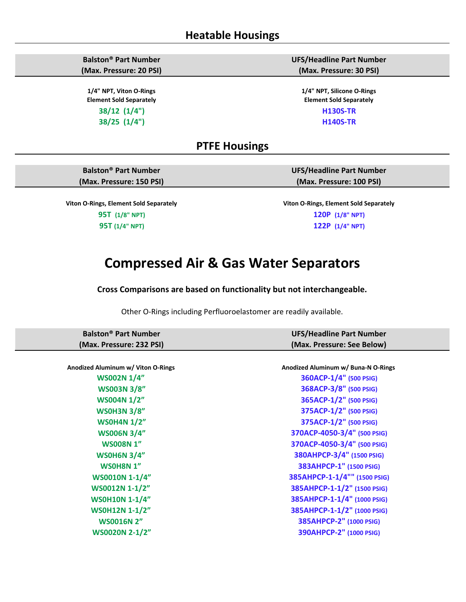**Balston® Part Number (Max. Pressure: 20 PSI)**

**1/4" NPT, Viton O-Rings Element Sold Separately 38/12 (1/4") H130S-TR**

**UFS/Headline Part Number (Max. Pressure: 30 PSI)**

**1/4" NPT, Silicone O-Rings Element Sold Separately 38/25 (1/4") H140S-TR**

### **PTFE Housings**

**Balston® Part Number (Max. Pressure: 150 PSI)**

**Viton O-Rings, Element Sold Separately Viton O-Rings, Element Sold Separately 95T (1/8" NPT) 120P (1/8" NPT) 95T (1/4" NPT) 122P (1/4" NPT)**

**UFS/Headline Part Number (Max. Pressure: 100 PSI)**

## **Compressed Air & Gas Water Separators**

**Cross Comparisons are based on functionality but not interchangeable.**

Other O-Rings including Perfluoroelastomer are readily available.

| <b>Balston<sup>®</sup> Part Number</b> | <b>UFS/Headline Part Number</b>     |
|----------------------------------------|-------------------------------------|
| (Max. Pressure: 232 PSI)               | (Max. Pressure: See Below)          |
|                                        |                                     |
| Anodized Aluminum w/ Viton O-Rings     | Anodized Aluminum w/ Buna-N O-Rings |
| <b>WS002N 1/4"</b>                     | 360ACP-1/4" (500 PSIG)              |
| <b>WS003N 3/8"</b>                     | 368ACP-3/8" (500 PSIG)              |
| <b>WS004N 1/2"</b>                     | 365ACP-1/2" (500 PSIG)              |
| <b>WSOH3N 3/8"</b>                     | 375ACP-1/2" (500 PSIG)              |
| <b>WS0H4N 1/2"</b>                     | 375ACP-1/2" (500 PSIG)              |
| <b>WS006N 3/4"</b>                     | 370ACP-4050-3/4" (500 PSIG)         |
| <b>WS008N1"</b>                        | 370ACP-4050-3/4" (500 PSIG)         |
| <b>WSOH6N 3/4"</b>                     | 380AHPCP-3/4" (1500 PSIG)           |
| WSOH8N 1"                              | 383AHPCP-1" (1500 PSIG)             |
| <b>WS0010N 1-1/4"</b>                  | 385AHPCP-1-1/4"" (1500 PSIG)        |
| WS0012N 1-1/2"                         | 385AHPCP-1-1/2" (1500 PSIG)         |
| <b>WSOH10N 1-1/4"</b>                  | 385AHPCP-1-1/4" (1000 PSIG)         |
| <b>WSOH12N 1-1/2"</b>                  | 385AHPCP-1-1/2" (1000 PSIG)         |
| <b>WS0016N 2"</b>                      | 385AHPCP-2" (1000 PSIG)             |
| <b>WS0020N 2-1/2"</b>                  | 390AHPCP-2" (1000 PSIG)             |
|                                        |                                     |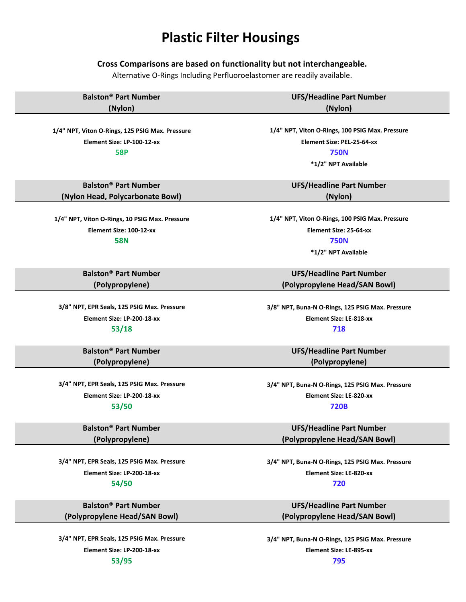# **Plastic Filter Housings**

### **Cross Comparisons are based on functionality but not interchangeable.**

Alternative O-Rings Including Perfluoroelastomer are readily available.

| <b>Balston<sup>®</sup> Part Number</b>          | <b>UFS/Headline Part Number</b>                  |
|-------------------------------------------------|--------------------------------------------------|
| (Nylon)                                         | (Nylon)                                          |
|                                                 |                                                  |
| 1/4" NPT, Viton O-Rings, 125 PSIG Max. Pressure | 1/4" NPT, Viton O-Rings, 100 PSIG Max. Pressure  |
| Element Size: LP-100-12-xx                      | Element Size: PEL-25-64-xx                       |
| <b>58P</b>                                      | <b>750N</b>                                      |
|                                                 | *1/2" NPT Available                              |
|                                                 |                                                  |
| <b>Balston<sup>®</sup> Part Number</b>          | <b>UFS/Headline Part Number</b>                  |
| (Nylon Head, Polycarbonate Bowl)                | (Nylon)                                          |
|                                                 |                                                  |
| 1/4" NPT, Viton O-Rings, 10 PSIG Max. Pressure  | 1/4" NPT, Viton O-Rings, 100 PSIG Max. Pressure  |
| Element Size: 100-12-xx                         | Element Size: 25-64-xx                           |
| <b>58N</b>                                      | <b>750N</b>                                      |
|                                                 | *1/2" NPT Available                              |
|                                                 |                                                  |
| <b>Balston<sup>®</sup> Part Number</b>          | <b>UFS/Headline Part Number</b>                  |
| (Polypropylene)                                 | (Polypropylene Head/SAN Bowl)                    |
|                                                 |                                                  |
| 3/8" NPT, EPR Seals, 125 PSIG Max. Pressure     | 3/8" NPT, Buna-N O-Rings, 125 PSIG Max. Pressure |
| Element Size: LP-200-18-xx                      | Element Size: LE-818-xx                          |
| 53/18                                           | 718                                              |
|                                                 |                                                  |
| <b>Balston<sup>®</sup> Part Number</b>          | <b>UFS/Headline Part Number</b>                  |
| (Polypropylene)                                 | (Polypropylene)                                  |
|                                                 |                                                  |
| 3/4" NPT, EPR Seals, 125 PSIG Max. Pressure     | 3/4" NPT, Buna-N O-Rings, 125 PSIG Max. Pressure |
| Element Size: LP-200-18-xx                      | Element Size: LE-820-xx                          |
| 53/50                                           | <b>720B</b>                                      |
|                                                 |                                                  |
| <b>Balston<sup>®</sup> Part Number</b>          | <b>UFS/Headline Part Number</b>                  |
| (Polypropylene)                                 | (Polypropylene Head/SAN Bowl)                    |
|                                                 |                                                  |
| 3/4" NPT, EPR Seals, 125 PSIG Max. Pressure     | 3/4" NPT, Buna-N O-Rings, 125 PSIG Max. Pressure |
| Element Size: LP-200-18-xx                      | Element Size: LE-820-xx                          |
| 54/50                                           | 720                                              |
|                                                 |                                                  |
| <b>Balston<sup>®</sup> Part Number</b>          | <b>UFS/Headline Part Number</b>                  |
| (Polypropylene Head/SAN Bowl)                   | (Polypropylene Head/SAN Bowl)                    |
|                                                 |                                                  |
| 3/4" NPT, EPR Seals, 125 PSIG Max. Pressure     | 3/4" NPT, Buna-N O-Rings, 125 PSIG Max. Pressure |
| Element Size: LP-200-18-xx                      | Element Size: LE-895-xx                          |
| 53/95                                           | 795                                              |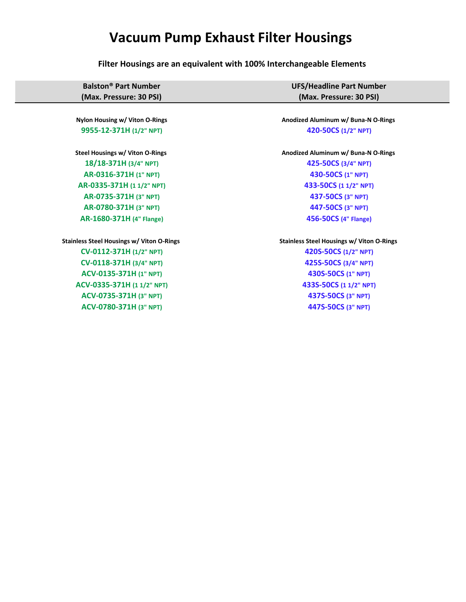# **Vacuum Pump Exhaust Filter Housings**

**Filter Housings are an equivalent with 100% Interchangeable Elements**

| <b>Balston<sup>®</sup> Part Number</b>           | <b>UFS/Headline Part Number</b>                  |
|--------------------------------------------------|--------------------------------------------------|
| (Max. Pressure: 30 PSI)                          | (Max. Pressure: 30 PSI)                          |
|                                                  |                                                  |
| Nylon Housing w/ Viton O-Rings                   | Anodized Aluminum w/ Buna-N O-Rings              |
| 9955-12-371H (1/2" NPT)                          | 420-50CS (1/2" NPT)                              |
| Steel Housings w/ Viton O-Rings                  | Anodized Aluminum w/ Buna-N O-Rings              |
| 18/18-371H (3/4" NPT)                            | 425-50CS (3/4" NPT)                              |
| AR-0316-371H (1" NPT)                            | 430-50CS (1" NPT)                                |
| AR-0335-371H (11/2" NPT)                         | 433-50CS (1 1/2" NPT)                            |
| AR-0735-371H (3" NPT)                            | 437-50CS (3" NPT)                                |
| AR-0780-371H (3" NPT)                            | 447-50CS (3" NPT)                                |
| AR-1680-371H (4" Flange)                         | 456-50CS (4" Flange)                             |
| <b>Stainless Steel Housings w/ Viton O-Rings</b> | <b>Stainless Steel Housings w/ Viton O-Rings</b> |
| CV-0112-371H (1/2" NPT)                          | 420S-50CS (1/2" NPT)                             |
| CV-0118-371H (3/4" NPT)                          | 425S-50CS (3/4" NPT)                             |
| ACV-0135-371H (1" NPT)                           | 430S-50CS (1" NPT)                               |
| ACV-0335-371H (11/2" NPT)                        | 433S-50CS (1 1/2" NPT)                           |
| ACV-0735-371H (3" NPT)                           | 437S-50CS (3" NPT)                               |
| ACV-0780-371H (3" NPT)                           | 447S-50CS (3" NPT)                               |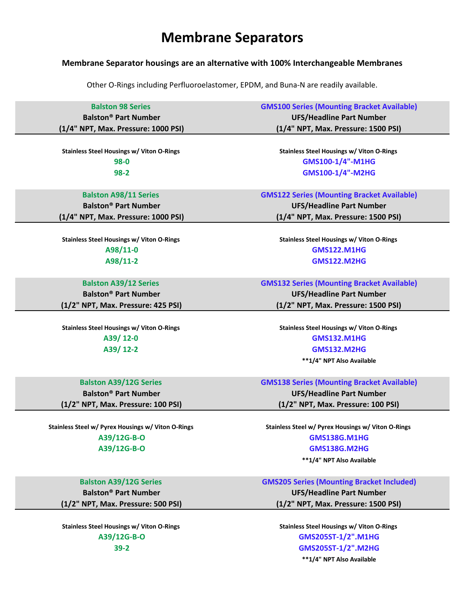## **Membrane Separators**

### **Membrane Separator housings are an alternative with 100% Interchangeable Membranes**

Other O-Rings including Perfluoroelastomer, EPDM, and Buna-N are readily available.

| <b>Balston 98 Series</b>               | <b>GMS100 Series (Mounting Bracket Available)</b> |
|----------------------------------------|---------------------------------------------------|
| <b>Balston<sup>®</sup> Part Number</b> | <b>UFS/Headline Part Number</b>                   |
| (1/4" NPT, Max. Pressure: 1000 PSI)    | (1/4" NPT, Max. Pressure: 1500 PSI)               |

**98-0 GMS100-1/4"-M1HG 98-2 GMS100-1/4"-M2HG**

**Balston® Part Number (1/4" NPT, Max. Pressure: 1000 PSI)**

Stainless Steel Housings w/ Viton O-Rings **Stainless Steel Housings w/ Viton O-Rings Stainless Steel Housings w/ Viton O-Rings** 

**Balston® Part Number (1/2" NPT, Max. Pressure: 425 PSI)**

Stainless Steel Housings w/ Viton O-Rings **Stainless Steel Housings w/ Viton O-Rings Stainless Steel Housings w/ Viton O-Rings** 

**Balston® Part Number (1/2" NPT, Max. Pressure: 100 PSI)**

**Balston® Part Number (1/2" NPT, Max. Pressure: 500 PSI)**

Stainless Steel Housings w/ Viton O-Rings **Stainless Steel Housings w/ Viton O-Rings Stainless Steel Housings w/ Viton O-Rings** 

Stainless Steel Housings w/ Viton O-Rings **Stainless Steel Housings w/ Viton O-Rings Stainless Steel Housings w/ Viton O-Rings** 

**Balston A98/11 Series GMS122 Series (Mounting Bracket Available) UFS/Headline Part Number (1/4" NPT, Max. Pressure: 1500 PSI)**

**A98/11-0 GMS122.M1HG A98/11-2 GMS122.M2HG**

**Balston A39/12 Series GMS132 Series (Mounting Bracket Available) UFS/Headline Part Number (1/2" NPT, Max. Pressure: 1500 PSI)**

**A39/ 12-0 GMS132.M1HG A39/ 12-2 GMS132.M2HG \*\*1/4" NPT Also Available**

**Balston A39/12G Series GMS138 Series (Mounting Bracket Available)**

**UFS/Headline Part Number (1/2" NPT, Max. Pressure: 100 PSI)**

Stainless Steel w/ Pyrex Housings w/ Viton O-Rings **Stainless Steel w/ Pyrex Housings w/ Viton O-Rings Stainless Steel w/ Pyrex Housings w/ Viton O-Rings A39/12G-B-O GMS138G.M1HG A39/12G-B-O GMS138G.M2HG**

**\*\*1/4" NPT Also Available**

**Balston A39/12G Series GMS205 Series (Mounting Bracket Included)**

**UFS/Headline Part Number (1/2" NPT, Max. Pressure: 1500 PSI)**

**A39/12G-B-O GMS205ST-1/2".M1HG 39-2 GMS205ST-1/2".M2HG \*\*1/4" NPT Also Available**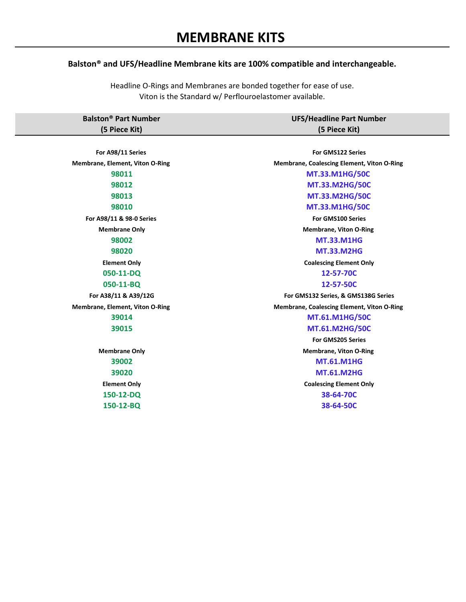### **Balston® and UFS/Headline Membrane kits are 100% compatible and interchangeable.**

Headline O-Rings and Membranes are bonded together for ease of use. Viton is the Standard w/ Perflouroelastomer available.

| <b>Balston<sup>®</sup> Part Number</b> | <b>UFS/Headline Part Number</b> |
|----------------------------------------|---------------------------------|
| (5 Piece Kit)                          | (5 Piece Kit)                   |

| For A98/11 Series                      | For GMS122 Series                          |
|----------------------------------------|--------------------------------------------|
| Membrane, Element, Viton O-Ring        | Membrane, Coalescing Element, Viton O-Ring |
| 98011                                  | <b>MT.33.M1HG/50C</b>                      |
| 98012                                  | <b>MT.33.M2HG/50C</b>                      |
| 98013                                  | <b>MT.33.M2HG/50C</b>                      |
| 98010                                  | <b>MT.33.M1HG/50C</b>                      |
| For A98/11 & 98-0 Series               | For GMS100 Series                          |
| <b>Membrane Only</b>                   | <b>Membrane, Viton O-Ring</b>              |
| 98002                                  | <b>MT.33.M1HG</b>                          |
| 98020                                  | <b>MT.33.M2HG</b>                          |
| <b>Element Only</b>                    | <b>Coalescing Element Only</b>             |
| 050-11-DQ                              | 12-57-70C                                  |
| 050-11-BQ                              | 12-57-50C                                  |
| For A38/11 & A39/12G                   | For GMS132 Series, & GMS138G Series        |
| <b>Membrane, Element, Viton O-Ring</b> | Membrane, Coalescing Element, Viton O-Ring |
| 39014                                  | <b>MT.61.M1HG/50C</b>                      |
| 39015                                  | MT.61.M2HG/50C                             |
|                                        | <b>For GMS205 Series</b>                   |
| <b>Membrane Only</b>                   | <b>Membrane, Viton O-Ring</b>              |
| 39002                                  | <b>MT.61.M1HG</b>                          |
| 39020                                  | <b>MT.61.M2HG</b>                          |
| <b>Element Only</b>                    | <b>Coalescing Element Only</b>             |
| 150-12-DQ                              | 38-64-70C                                  |
| 150-12-BQ                              | 38-64-50C                                  |
|                                        |                                            |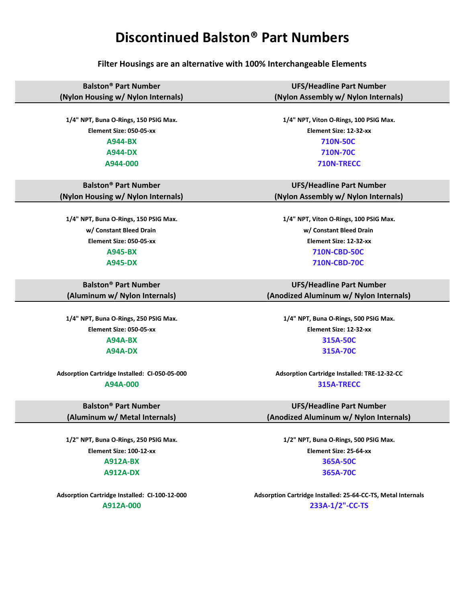## **Discontinued Balston® Part Numbers**

**Filter Housings are an alternative with 100% Interchangeable Elements**

**Balston® Part Number (Nylon Housing w/ Nylon Internals)**

**Balston® Part Number (Nylon Housing w/ Nylon Internals)**

**w/ Constant Bleed Drain w/ Constant Bleed Drain Element Size: 050-05-xx Element Size: 12-32-xx**

**Balston® Part Number (Aluminum w/ Nylon Internals)**

**Element Size: 050-05-xx Element Size: 12-32-xx**

**Balston® Part Number (Aluminum w/ Metal Internals)**

**1/2" NPT, Buna O-Rings, 250 PSIG Max. 1/2" NPT, Buna O-Rings, 500 PSIG Max. Element Size: 100-12-xx Element Size: 25-64-xx A912A-BX 365A-50C A912A-DX 365A-70C**

**UFS/Headline Part Number (Nylon Assembly w/ Nylon Internals)**

**1/4" NPT, Buna O-Rings, 150 PSIG Max. 1/4" NPT, Viton O-Rings, 100 PSIG Max. Element Size: 050-05-xx Element Size: 12-32-xx A944-BX 710N-50C A944-DX 710N-70C A944-000 710N-TRECC**

> **UFS/Headline Part Number (Nylon Assembly w/ Nylon Internals)**

**1/4" NPT, Buna O-Rings, 150 PSIG Max. 1/4" NPT, Viton O-Rings, 100 PSIG Max. A945-BX 710N-CBD-50C A945-DX 710N-CBD-70C** 

> **UFS/Headline Part Number (Anodized Aluminum w/ Nylon Internals)**

**1/4" NPT, Buna O-Rings, 250 PSIG Max. 1/4" NPT, Buna O-Rings, 500 PSIG Max. A94A-BX 315A-50C A94A-DX 315A-70C**

**Adsorption Cartridge Installed: CI-050-05-000 Adsorption Cartridge Installed: TRE-12-32-CC A94A-000 315A-TRECC**

> **UFS/Headline Part Number (Anodized Aluminum w/ Nylon Internals)**

**Adsorption Cartridge Installed: CI-100-12-000 Adsorption Cartridge Installed: 25-64-CC-TS, Metal Internals A912A-000 233A-1/2"-CC-TS**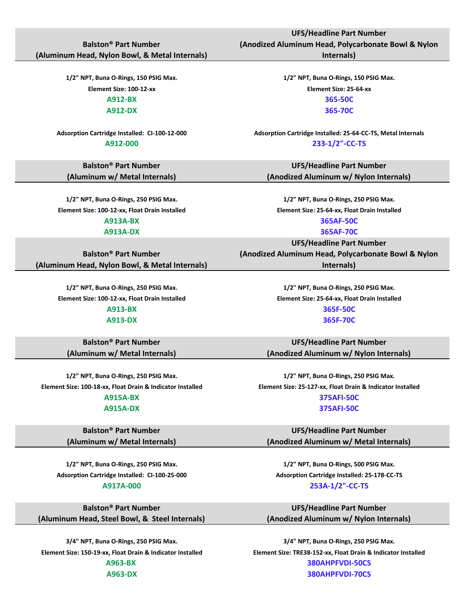### **Balston® Part Number (Aluminum Head, Nylon Bowl, & Metal Internals)**

**Balston® Part Number (Aluminum w/ Metal Internals)**

**1/2" NPT, Buna O-Rings, 250 PSIG Max. 1/2" NPT, Buna O-Rings, 250 PSIG Max. Element Size: 100-12-xx, Float Drain Installed Element Size: 25-64-xx, Float Drain Installed A913A-BX 365AF-50C**

**Balston® Part Number (Aluminum Head, Nylon Bowl, & Metal Internals)**

> **Element Size: 100-12-xx, Float Drain Installed Element Size: 25-64-xx, Float Drain Installed A913-BX 365F-50C A913-DX 365F-70C**

**Balston® Part Number (Aluminum w/ Metal Internals)**

**1/2" NPT, Buna O-Rings, 250 PSIG Max. 1/2" NPT, Buna O-Rings, 250 PSIG Max. Element Size: 100-18-xx, Float Drain & Indicator Installed Element Size: 25-127-xx, Float Drain & Indicator Installed**

**Balston® Part Number (Aluminum w/ Metal Internals)**

**1/2" NPT, Buna O-Rings, 250 PSIG Max. 1/2" NPT, Buna O-Rings, 500 PSIG Max. Adsorption Cartridge Installed: CI-100-25-000 Adsorption Cartridge Installed: 25-178-CC-TS**

**Balston® Part Number (Aluminum Head, Steel Bowl, & Steel Internals)**

**Internals)**

**1/2" NPT, Buna O-Rings, 150 PSIG Max. 1/2" NPT, Buna O-Rings, 150 PSIG Max. Element Size: 100-12-xx Element Size: 25-64-xx A912-BX 365-50C A912-DX 365-70C**

**Adsorption Cartridge Installed: CI-100-12-000 Adsorption Cartridge Installed: 25-64-CC-TS, Metal Internals A912-000 233-1/2"-CC-TS**

> **UFS/Headline Part Number (Anodized Aluminum w/ Nylon Internals)**

**A913A-DX 365AF-70C**

**UFS/Headline Part Number**

**(Anodized Aluminum Head, Polycarbonate Bowl & Nylon Internals)**

**1/2" NPT, Buna O-Rings, 250 PSIG Max. 1/2" NPT, Buna O-Rings, 250 PSIG Max.**

**UFS/Headline Part Number (Anodized Aluminum w/ Nylon Internals)**

**A915A-BX 375AFI-50C A915A-DX 375AFI-50C**

> **UFS/Headline Part Number (Anodized Aluminum w/ Metal Internals)**

**A917A-000 253A-1/2"-CC-TS**

**UFS/Headline Part Number (Anodized Aluminum w/ Nylon Internals)**

**3/4" NPT, Buna O-Rings, 250 PSIG Max. 3/4" NPT, Buna O-Rings, 250 PSIG Max. Element Size: 150-19-xx, Float Drain & Indicator Installed Element Size: TRE38-152-xx, Float Drain & Indicator Installed A963-BX 380AHPFVDI-50CS A963-DX 380AHPFVDI-70CS**